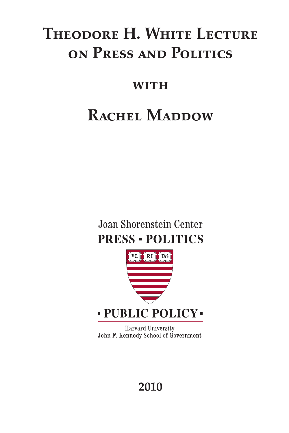# **Theodore H. White Lecture on Press and Politics**

### **with**

# **RACHEL MADDOW**





Harvard University John F. Kennedy School of Government

## **2010**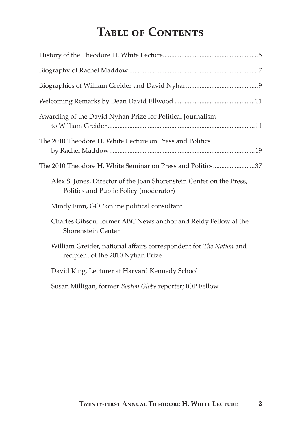## **Table of Contents**

| Awarding of the David Nyhan Prize for Political Journalism                                                     |
|----------------------------------------------------------------------------------------------------------------|
| The 2010 Theodore H. White Lecture on Press and Politics                                                       |
| The 2010 Theodore H. White Seminar on Press and Politics37                                                     |
| Alex S. Jones, Director of the Joan Shorenstein Center on the Press,<br>Politics and Public Policy (moderator) |
| Mindy Finn, GOP online political consultant                                                                    |
| Charles Gibson, former ABC News anchor and Reidy Fellow at the<br>Shorenstein Center                           |
| William Greider, national affairs correspondent for The Nation and<br>recipient of the 2010 Nyhan Prize        |
| David King, Lecturer at Harvard Kennedy School                                                                 |
| Susan Milligan, former Boston Globe reporter; IOP Fellow                                                       |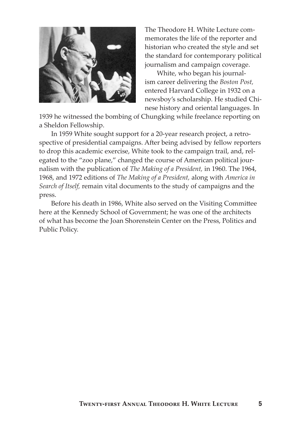

The Theodore H. White Lecture commemorates the life of the reporter and historian who created the style and set the standard for contemporary political journalism and campaign coverage.

White, who began his journalism career delivering the *Boston Post,*  entered Harvard College in 1932 on a newsboy's scholarship. He studied Chinese history and oriental languages. In

1939 he witnessed the bombing of Chungking while freelance reporting on a Sheldon Fellowship.

In 1959 White sought support for a 20-year research project, a retrospective of presidential campaigns. After being advised by fellow reporters to drop this academic exercise, White took to the campaign trail, and, relegated to the "zoo plane," changed the course of American political journalism with the publication of *The Making of a President,* in 1960. The 1964, 1968, and 1972 editions of *The Making of a President,* along with *America in Search of Itself,* remain vital documents to the study of campaigns and the press.

Before his death in 1986, White also served on the Visiting Committee here at the Kennedy School of Government; he was one of the architects of what has become the Joan Shorenstein Center on the Press, Politics and Public Policy.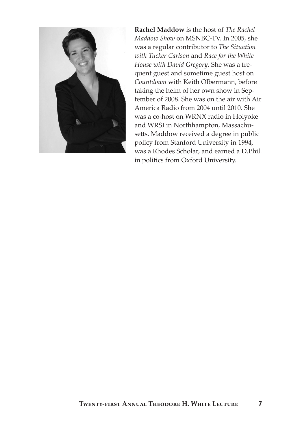

**Rachel Maddow** is the host of *The Rachel Maddow Show* on MSNBC-TV. In 2005, she was a regular contributor to *The Situation with Tucker Carlson* and *Race for the White House with David Gregory*. She was a frequent guest and sometime guest host on *Countdown* with Keith Olbermann, before taking the helm of her own show in September of 2008. She was on the air with Air America Radio from 2004 until 2010. She was a co-host on WRNX radio in Holyoke and WRSI in Northhampton, Massachusetts. Maddow received a degree in public policy from Stanford University in 1994, was a Rhodes Scholar, and earned a D.Phil. in politics from Oxford University.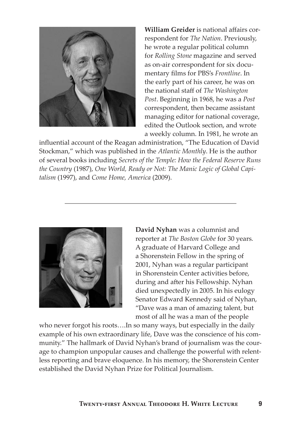

**William Greider** is national affairs correspondent for *The Nation*. Previously, he wrote a regular political column for *Rolling Stone* magazine and served as on-air correspondent for six documentary films for PBS's *Frontline*. In the early part of his career, he was on the national staff of *The Washington Post*. Beginning in 1968, he was a *Post* correspondent, then became assistant managing editor for national coverage, edited the Outlook section, and wrote a weekly column. In 1981, he wrote an

influential account of the Reagan administration, "The Education of David Stockman," which was published in the *Atlantic Monthly*. He is the author of several books including *Secrets of the Temple: How the Federal Reserve Runs the Country* (1987), *One World, Ready or Not: The Manic Logic of Global Capitalism* (1997), and *Come Home, America* (2009).



**David Nyhan** was a columnist and reporter at *The Boston Globe* for 30 years*.*  A graduate of Harvard College and a Shorenstein Fellow in the spring of 2001, Nyhan was a regular participant in Shorenstein Center activities before, during and after his Fellowship. Nyhan died unexpectedly in 2005. In his eulogy Senator Edward Kennedy said of Nyhan, "Dave was a man of amazing talent, but most of all he was a man of the people

who never forgot his roots….In so many ways, but especially in the daily example of his own extraordinary life, Dave was the conscience of his community." The hallmark of David Nyhan's brand of journalism was the courage to champion unpopular causes and challenge the powerful with relentless reporting and brave eloquence. In his memory, the Shorenstein Center established the David Nyhan Prize for Political Journalism.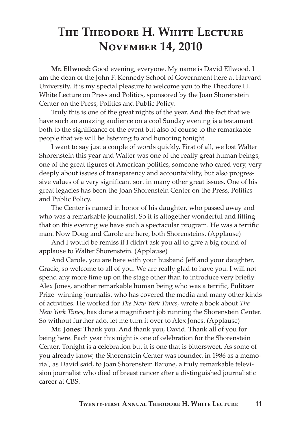## **The Theodore H. White Lecture November 14, 2010**

**Mr. Ellwood:** Good evening, everyone. My name is David Ellwood. I am the dean of the John F. Kennedy School of Government here at Harvard University. It is my special pleasure to welcome you to the Theodore H. White Lecture on Press and Politics, sponsored by the Joan Shorenstein Center on the Press, Politics and Public Policy.

Truly this is one of the great nights of the year. And the fact that we have such an amazing audience on a cool Sunday evening is a testament both to the significance of the event but also of course to the remarkable people that we will be listening to and honoring tonight.

I want to say just a couple of words quickly. First of all, we lost Walter Shorenstein this year and Walter was one of the really great human beings, one of the great figures of American politics, someone who cared very, very deeply about issues of transparency and accountability, but also progressive values of a very significant sort in many other great issues. One of his great legacies has been the Joan Shorenstein Center on the Press, Politics and Public Policy.

The Center is named in honor of his daughter, who passed away and who was a remarkable journalist. So it is altogether wonderful and fitting that on this evening we have such a spectacular program. He was a terrific man. Now Doug and Carole are here, both Shorensteins. (Applause)

And I would be remiss if I didn't ask you all to give a big round of applause to Walter Shorenstein. (Applause)

And Carole, you are here with your husband Jeff and your daughter, Gracie, so welcome to all of you. We are really glad to have you. I will not spend any more time up on the stage other than to introduce very briefly Alex Jones, another remarkable human being who was a terrific, Pulitzer Prize–winning journalist who has covered the media and many other kinds of activities. He worked for *The New York Times*, wrote a book about *The New York Times*, has done a magnificent job running the Shorenstein Center. So without further ado, let me turn it over to Alex Jones. (Applause)

**Mr. Jones:** Thank you. And thank you, David. Thank all of you for being here. Each year this night is one of celebration for the Shorenstein Center. Tonight is a celebration but it is one that is bittersweet. As some of you already know, the Shorenstein Center was founded in 1986 as a memorial, as David said, to Joan Shorenstein Barone, a truly remarkable television journalist who died of breast cancer after a distinguished journalistic career at CBS.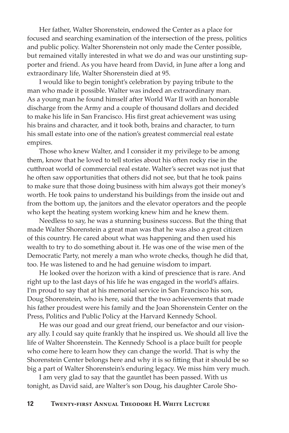Her father, Walter Shorenstein, endowed the Center as a place for focused and searching examination of the intersection of the press, politics and public policy. Walter Shorenstein not only made the Center possible, but remained vitally interested in what we do and was our unstinting supporter and friend. As you have heard from David, in June after a long and extraordinary life, Walter Shorenstein died at 95.

I would like to begin tonight's celebration by paying tribute to the man who made it possible. Walter was indeed an extraordinary man. As a young man he found himself after World War II with an honorable discharge from the Army and a couple of thousand dollars and decided to make his life in San Francisco. His first great achievement was using his brains and character, and it took both, brains and character, to turn his small estate into one of the nation's greatest commercial real estate empires.

Those who knew Walter, and I consider it my privilege to be among them, know that he loved to tell stories about his often rocky rise in the cutthroat world of commercial real estate. Walter's secret was not just that he often saw opportunities that others did not see, but that he took pains to make sure that those doing business with him always got their money's worth. He took pains to understand his buildings from the inside out and from the bottom up, the janitors and the elevator operators and the people who kept the heating system working knew him and he knew them.

Needless to say, he was a stunning business success. But the thing that made Walter Shorenstein a great man was that he was also a great citizen of this country. He cared about what was happening and then used his wealth to try to do something about it. He was one of the wise men of the Democratic Party, not merely a man who wrote checks, though he did that, too. He was listened to and he had genuine wisdom to impart.

He looked over the horizon with a kind of prescience that is rare. And right up to the last days of his life he was engaged in the world's affairs. I'm proud to say that at his memorial service in San Francisco his son, Doug Shorenstein, who is here, said that the two achievements that made his father proudest were his family and the Joan Shorenstein Center on the Press, Politics and Public Policy at the Harvard Kennedy School.

He was our goad and our great friend, our benefactor and our visionary ally. I could say quite frankly that he inspired us. We should all live the life of Walter Shorenstein. The Kennedy School is a place built for people who come here to learn how they can change the world. That is why the Shorenstein Center belongs here and why it is so fitting that it should be so big a part of Walter Shorenstein's enduring legacy. We miss him very much.

I am very glad to say that the gauntlet has been passed. With us tonight, as David said, are Walter's son Doug, his daughter Carole Sho-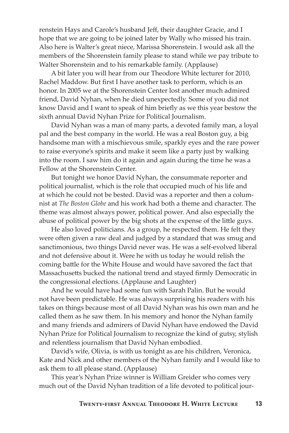renstein Hays and Carole's husband Jeff, their daughter Gracie, and I hope that we are going to be joined later by Wally who missed his train. Also here is Walter's great niece, Marissa Shorenstein. I would ask all the members of the Shorenstein family please to stand while we pay tribute to Walter Shorenstein and to his remarkable family. (Applause)

A bit later you will hear from our Theodore White lecturer for 2010, Rachel Maddow. But first I have another task to perform, which is an honor. In 2005 we at the Shorenstein Center lost another much admired friend, David Nyhan, when he died unexpectedly. Some of you did not know David and I want to speak of him briefly as we this year bestow the sixth annual David Nyhan Prize for Political Journalism.

David Nyhan was a man of many parts, a devoted family man, a loyal pal and the best company in the world. He was a real Boston guy, a big handsome man with a mischievous smile, sparkly eyes and the rare power to raise everyone's spirits and make it seem like a party just by walking into the room. I saw him do it again and again during the time he was a Fellow at the Shorenstein Center.

But tonight we honor David Nyhan, the consummate reporter and political journalist, which is the role that occupied much of his life and at which he could not be bested. David was a reporter and then a columnist at *The Boston Globe* and his work had both a theme and character. The theme was almost always power, political power. And also especially the abuse of political power by the big shots at the expense of the little guys.

He also loved politicians. As a group, he respected them. He felt they were often given a raw deal and judged by a standard that was smug and sanctimonious, two things David never was. He was a self-evolved liberal and not defensive about it. Were he with us today he would relish the coming battle for the White House and would have savored the fact that Massachusetts bucked the national trend and stayed firmly Democratic in the congressional elections. (Applause and Laughter)

And he would have had some fun with Sarah Palin. But he would not have been predictable. He was always surprising his readers with his takes on things because most of all David Nyhan was his own man and he called them as he saw them. In his memory and honor the Nyhan family and many friends and admirers of David Nyhan have endowed the David Nyhan Prize for Political Journalism to recognize the kind of gutsy, stylish and relentless journalism that David Nyhan embodied.

David's wife, Olivia, is with us tonight as are his children, Veronica, Kate and Nick and other members of the Nyhan family and I would like to ask them to all please stand. (Applause)

This year's Nyhan Prize winner is William Greider who comes very much out of the David Nyhan tradition of a life devoted to political jour-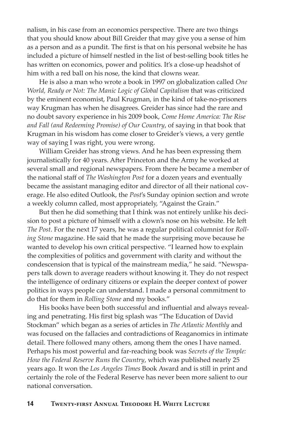nalism, in his case from an economics perspective. There are two things that you should know about Bill Greider that may give you a sense of him as a person and as a pundit. The first is that on his personal website he has included a picture of himself nestled in the list of best-selling book titles he has written on economics, power and politics. It's a close-up headshot of him with a red ball on his nose, the kind that clowns wear.

He is also a man who wrote a book in 1997 on globalization called *One World, Ready or Not: The Manic Logic of Global Capitalism* that was criticized by the eminent economist, Paul Krugman, in the kind of take-no-prisoners way Krugman has when he disagrees. Greider has since had the rare and no doubt savory experience in his 2009 book, *Come Home America: The Rise and Fall (and Redeeming Promise) of Our Country*, of saying in that book that Krugman in his wisdom has come closer to Greider's views, a very gentle way of saying I was right, you were wrong.

William Greider has strong views. And he has been expressing them journalistically for 40 years. After Princeton and the Army he worked at several small and regional newspapers. From there he became a member of the national staff of *The Washington Post* for a dozen years and eventually became the assistant managing editor and director of all their national coverage. He also edited Outlook, the *Post*'s Sunday opinion section and wrote a weekly column called, most appropriately, "Against the Grain."

But then he did something that I think was not entirely unlike his decision to post a picture of himself with a clown's nose on his website. He left *The Post*. For the next 17 years, he was a regular political columnist for *Rolling Stone* magazine. He said that he made the surprising move because he wanted to develop his own critical perspective. "I learned how to explain the complexities of politics and government with clarity and without the condescension that is typical of the mainstream media," he said. "Newspapers talk down to average readers without knowing it. They do not respect the intelligence of ordinary citizens or explain the deeper context of power politics in ways people can understand. I made a personal commitment to do that for them in *Rolling Stone* and my books."

His books have been both successful and influential and always revealing and penetrating. His first big splash was "The Education of David Stockman" which began as a series of articles in *The Atlantic Monthly* and was focused on the fallacies and contradictions of Reaganomics in intimate detail. There followed many others, among them the ones I have named. Perhaps his most powerful and far-reaching book was *Secrets of the Temple: How the Federal Reserve Runs the Country*, which was published nearly 25 years ago. It won the *Los Angeles Times* Book Award and is still in print and certainly the role of the Federal Reserve has never been more salient to our national conversation.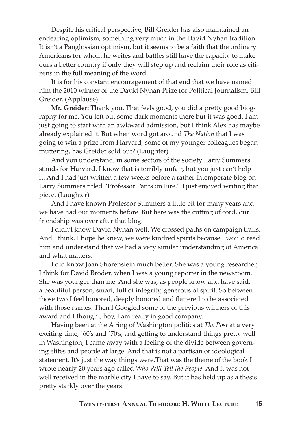Despite his critical perspective, Bill Greider has also maintained an endearing optimism, something very much in the David Nyhan tradition. It isn't a Panglossian optimism, but it seems to be a faith that the ordinary Americans for whom he writes and battles still have the capacity to make ours a better country if only they will step up and reclaim their role as citizens in the full meaning of the word.

It is for his constant encouragement of that end that we have named him the 2010 winner of the David Nyhan Prize for Political Journalism, Bill Greider. (Applause)

**Mr. Greider:** Thank you. That feels good, you did a pretty good biography for me. You left out some dark moments there but it was good. I am just going to start with an awkward admission, but I think Alex has maybe already explained it. But when word got around *The Nation* that I was going to win a prize from Harvard, some of my younger colleagues began muttering, has Greider sold out? (Laughter)

And you understand, in some sectors of the society Larry Summers stands for Harvard. I know that is terribly unfair, but you just can't help it. And I had just written a few weeks before a rather intemperate blog on Larry Summers titled "Professor Pants on Fire." I just enjoyed writing that piece. (Laughter)

And I have known Professor Summers a little bit for many years and we have had our moments before. But here was the cutting of cord, our friendship was over after that blog.

I didn't know David Nyhan well. We crossed paths on campaign trails. And I think, I hope he knew, we were kindred spirits because I would read him and understand that we had a very similar understanding of America and what matters.

I did know Joan Shorenstein much better. She was a young researcher, I think for David Broder, when I was a young reporter in the newsroom. She was younger than me. And she was, as people know and have said, a beautiful person, smart, full of integrity, generous of spirit. So between those two I feel honored, deeply honored and flattered to be associated with those names. Then I Googled some of the previous winners of this award and I thought, boy, I am really in good company.

Having been at the A ring of Washington politics at *The Post* at a very exciting time, `60's and `70's, and getting to understand things pretty well in Washington, I came away with a feeling of the divide between governing elites and people at large. And that is not a partisan or ideological statement. It's just the way things were.That was the theme of the book I wrote nearly 20 years ago called *Who Will Tell the People*. And it was not well received in the marble city I have to say. But it has held up as a thesis pretty starkly over the years.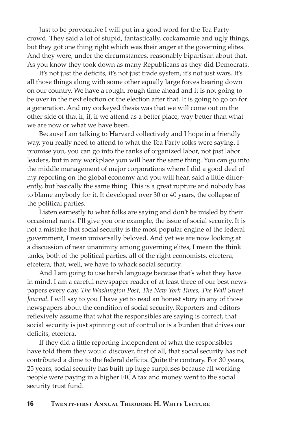Just to be provocative I will put in a good word for the Tea Party crowd. They said a lot of stupid, fantastically, cockamamie and ugly things, but they got one thing right which was their anger at the governing elites. And they were, under the circumstances, reasonably bipartisan about that. As you know they took down as many Republicans as they did Democrats.

It's not just the deficits, it's not just trade system, it's not just wars. It's all those things along with some other equally large forces bearing down on our country. We have a rough, rough time ahead and it is not going to be over in the next election or the election after that. It is going to go on for a generation. And my cockeyed thesis was that we will come out on the other side of that if, if, if we attend as a better place, way better than what we are now or what we have been.

Because I am talking to Harvard collectively and I hope in a friendly way, you really need to attend to what the Tea Party folks were saying. I promise you, you can go into the ranks of organized labor, not just labor leaders, but in any workplace you will hear the same thing. You can go into the middle management of major corporations where I did a good deal of my reporting on the global economy and you will hear, said a little differently, but basically the same thing. This is a great rupture and nobody has to blame anybody for it. It developed over 30 or 40 years, the collapse of the political parties.

Listen earnestly to what folks are saying and don't be misled by their occasional rants. I'll give you one example, the issue of social security. It is not a mistake that social security is the most popular engine of the federal government, I mean universally beloved. And yet we are now looking at a discussion of near unanimity among governing elites, I mean the think tanks, both of the political parties, all of the right economists, etcetera, etcetera, that, well, we have to whack social security.

And I am going to use harsh language because that's what they have in mind. I am a careful newspaper reader of at least three of our best newspapers every day, *The Washington Post, The New York Times, The Wall Street Journal*. I will say to you I have yet to read an honest story in any of those newspapers about the condition of social security. Reporters and editors reflexively assume that what the responsibles are saying is correct, that social security is just spinning out of control or is a burden that drives our deficits, etcetera.

If they did a little reporting independent of what the responsibles have told them they would discover, first of all, that social security has not contributed a dime to the federal deficits. Quite the contrary. For 30 years, 25 years, social security has built up huge surpluses because all working people were paying in a higher FICA tax and money went to the social security trust fund.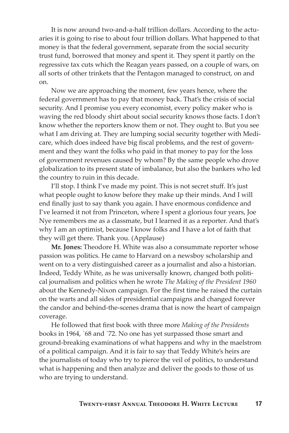It is now around two-and-a-half trillion dollars. According to the actuaries it is going to rise to about four trillion dollars. What happened to that money is that the federal government, separate from the social security trust fund, borrowed that money and spent it. They spent it partly on the regressive tax cuts which the Reagan years passed, on a couple of wars, on all sorts of other trinkets that the Pentagon managed to construct, on and on.

Now we are approaching the moment, few years hence, where the federal government has to pay that money back. That's the crisis of social security. And I promise you every economist, every policy maker who is waving the red bloody shirt about social security knows those facts. I don't know whether the reporters know them or not. They ought to. But you see what I am driving at. They are lumping social security together with Medicare, which does indeed have big fiscal problems, and the rest of government and they want the folks who paid in that money to pay for the loss of government revenues caused by whom? By the same people who drove globalization to its present state of imbalance, but also the bankers who led the country to ruin in this decade.

I'll stop. I think I've made my point. This is not secret stuff. It's just what people ought to know before they make up their minds. And I will end finally just to say thank you again. I have enormous confidence and I've learned it not from Princeton, where I spent a glorious four years, Joe Nye remembers me as a classmate, but I learned it as a reporter. And that's why I am an optimist, because I know folks and I have a lot of faith that they will get there. Thank you. (Applause)

**Mr. Jones:** Theodore H. White was also a consummate reporter whose passion was politics. He came to Harvard on a newsboy scholarship and went on to a very distinguished career as a journalist and also a historian. Indeed, Teddy White, as he was universally known, changed both political journalism and politics when he wrote *The Making of the President 1960* about the Kennedy-Nixon campaign. For the first time he raised the curtain on the warts and all sides of presidential campaigns and changed forever the candor and behind-the-scenes drama that is now the heart of campaign coverage.

He followed that first book with three more *Making of the Presidents* books in 1964, `68 and `72. No one has yet surpassed those smart and ground-breaking examinations of what happens and why in the maelstrom of a political campaign. And it is fair to say that Teddy White's heirs are the journalists of today who try to pierce the veil of politics, to understand what is happening and then analyze and deliver the goods to those of us who are trying to understand.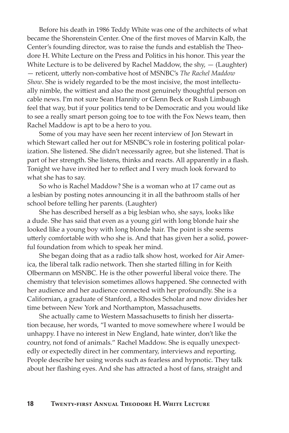Before his death in 1986 Teddy White was one of the architects of what became the Shorenstein Center. One of the first moves of Marvin Kalb, the Center's founding director, was to raise the funds and establish the Theodore H. White Lecture on the Press and Politics in his honor. This year the White Lecture is to be delivered by Rachel Maddow, the shy,  $-$  (Laughter) — reticent, utterly non-combative host of MSNBC's *The Rachel Maddow Show*. She is widely regarded to be the most incisive, the most intellectually nimble, the wittiest and also the most genuinely thoughtful person on cable news. I'm not sure Sean Hannity or Glenn Beck or Rush Limbaugh feel that way, but if your politics tend to be Democratic and you would like to see a really smart person going toe to toe with the Fox News team, then Rachel Maddow is apt to be a hero to you.

Some of you may have seen her recent interview of Jon Stewart in which Stewart called her out for MSNBC's role in fostering political polarization. She listened. She didn't necessarily agree, but she listened. That is part of her strength. She listens, thinks and reacts. All apparently in a flash. Tonight we have invited her to reflect and I very much look forward to what she has to say.

So who is Rachel Maddow? She is a woman who at 17 came out as a lesbian by posting notes announcing it in all the bathroom stalls of her school before telling her parents. (Laughter)

She has described herself as a big lesbian who, she says, looks like a dude. She has said that even as a young girl with long blonde hair she looked like a young boy with long blonde hair. The point is she seems utterly comfortable with who she is. And that has given her a solid, powerful foundation from which to speak her mind.

She began doing that as a radio talk show host, worked for Air America, the liberal talk radio network. Then she started filling in for Keith Olbermann on MSNBC. He is the other powerful liberal voice there. The chemistry that television sometimes allows happened. She connected with her audience and her audience connected with her profoundly. She is a Californian, a graduate of Stanford, a Rhodes Scholar and now divides her time between New York and Northampton, Massachusetts.

She actually came to Western Massachusetts to finish her dissertation because, her words, "I wanted to move somewhere where I would be unhappy. I have no interest in New England, hate winter, don't like the country, not fond of animals." Rachel Maddow. She is equally unexpectedly or expectedly direct in her commentary, interviews and reporting. People describe her using words such as fearless and hypnotic. They talk about her flashing eyes. And she has attracted a host of fans, straight and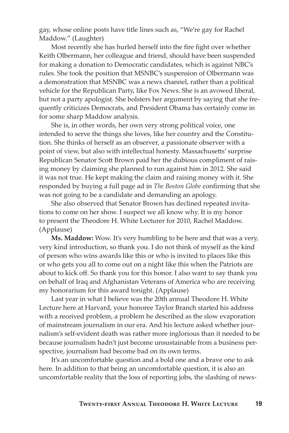gay, whose online posts have title lines such as, "We're gay for Rachel Maddow." (Laughter)

Most recently she has hurled herself into the fire fight over whether Keith Olbermann, her colleague and friend, should have been suspended for making a donation to Democratic candidates, which is against NBC's rules. She took the position that MSNBC's suspension of Olbermann was a demonstration that MSNBC was a news channel, rather than a political vehicle for the Republican Party, like Fox News. She is an avowed liberal, but not a party apologist. She bolsters her argument by saying that she frequently criticizes Democrats, and President Obama has certainly come in for some sharp Maddow analysis.

She is, in other words, her own very strong political voice, one intended to serve the things she loves, like her country and the Constitution. She thinks of herself as an observer, a passionate observer with a point of view, but also with intellectual honesty. Massachusetts' surprise Republican Senator Scott Brown paid her the dubious compliment of raising money by claiming she planned to run against him in 2012. She said it was not true. He kept making the claim and raising money with it. She responded by buying a full page ad in *The Boston Globe* confirming that she was not going to be a candidate and demanding an apology.

She also observed that Senator Brown has declined repeated invitations to come on her show. I suspect we all know why. It is my honor to present the Theodore H. White Lecturer for 2010, Rachel Maddow. (Applause)

**Ms. Maddow:** Wow. It's very humbling to be here and that was a very, very kind introduction, so thank you. I do not think of myself as the kind of person who wins awards like this or who is invited to places like this or who gets you all to come out on a night like this when the Patriots are about to kick off. So thank you for this honor. I also want to say thank you on behalf of Iraq and Afghanistan Veterans of America who are receiving my honorarium for this award tonight. (Applause)

Last year in what I believe was the 20th annual Theodore H. White Lecture here at Harvard, your honoree Taylor Branch started his address with a received problem, a problem he described as the slow evaporation of mainstream journalism in our era. And his lecture asked whether journalism's self-evident death was rather more inglorious than it needed to be because journalism hadn't just become unsustainable from a business perspective, journalism had become bad on its own terms.

It's an uncomfortable question and a bold one and a brave one to ask here. In addition to that being an uncomfortable question, it is also an uncomfortable reality that the loss of reporting jobs, the slashing of news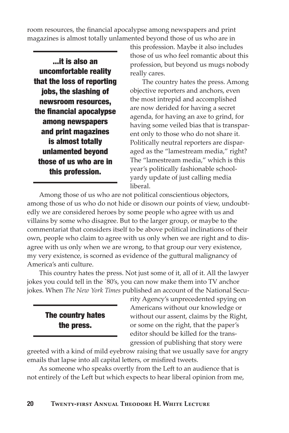room resources, the financial apocalypse among newspapers and print magazines is almost totally unlamented beyond those of us who are in

...it is also an uncomfortable reality that the loss of reporting jobs, the slashing of newsroom resources, the financial apocalypse among newspapers and print magazines is almost totally unlamented beyond those of us who are in this profession.

this profession. Maybe it also includes those of us who feel romantic about this profession, but beyond us mugs nobody really cares.

The country hates the press. Among objective reporters and anchors, even the most intrepid and accomplished are now derided for having a secret agenda, for having an axe to grind, for having some veiled bias that is transparent only to those who do not share it. Politically neutral reporters are disparaged as the "lamestream media," right? The "lamestream media," which is this year's politically fashionable schoolyardy update of just calling media liberal.

Among those of us who are not political conscientious objectors, among those of us who do not hide or disown our points of view, undoubtedly we are considered heroes by some people who agree with us and villains by some who disagree. But to the larger group, or maybe to the commentariat that considers itself to be above political inclinations of their own, people who claim to agree with us only when we are right and to disagree with us only when we are wrong, to that group our very existence, my very existence, is scorned as evidence of the guttural malignancy of America's anti culture.

This country hates the press. Not just some of it, all of it. All the lawyer jokes you could tell in the `80's, you can now make them into TV anchor jokes. When *The New York Times* published an account of the National Secu-

The country hates the press.

rity Agency's unprecedented spying on Americans without our knowledge or without our assent, claims by the Right, or some on the right, that the paper's editor should be killed for the transgression of publishing that story were

greeted with a kind of mild eyebrow raising that we usually save for angry emails that lapse into all capital letters, or misfired tweets.

As someone who speaks overtly from the Left to an audience that is not entirely of the Left but which expects to hear liberal opinion from me,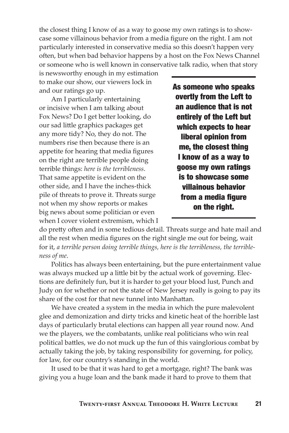the closest thing I know of as a way to goose my own ratings is to showcase some villainous behavior from a media figure on the right. I am not particularly interested in conservative media so this doesn't happen very often, but when bad behavior happens by a host on the Fox News Channel or someone who is well known in conservative talk radio, when that story

is newsworthy enough in my estimation to make our show, our viewers lock in and our ratings go up.

Am I particularly entertaining or incisive when I am talking about Fox News? Do I get better looking, do our sad little graphics packages get any more tidy? No, they do not. The numbers rise then because there is an appetite for hearing that media figures on the right are terrible people doing terrible things: *here is the terribleness*. That same appetite is evident on the other side, and I have the inches-thick pile of threats to prove it. Threats surge not when my show reports or makes big news about some politician or even when I cover violent extremism, which I As someone who speaks overtly from the Left to an audience that is not entirely of the Left but which expects to hear liberal opinion from me, the closest thing I know of as a way to goose my own ratings is to showcase some villainous behavior from a media figure on the right.

do pretty often and in some tedious detail. Threats surge and hate mail and all the rest when media figures on the right single me out for being, wait for it, *a terrible person doing terrible things, here is the terribleness, the terribleness of me*.

Politics has always been entertaining, but the pure entertainment value was always mucked up a little bit by the actual work of governing. Elections are definitely fun, but it is harder to get your blood lust, Punch and Judy on for whether or not the state of New Jersey really is going to pay its share of the cost for that new tunnel into Manhattan.

We have created a system in the media in which the pure malevolent glee and demonization and dirty tricks and kinetic heat of the horrible last days of particularly brutal elections can happen all year round now. And we the players, we the combatants, unlike real politicians who win real political battles, we do not muck up the fun of this vainglorious combat by actually taking the job, by taking responsibility for governing, for policy, for law, for our country's standing in the world.

It used to be that it was hard to get a mortgage, right? The bank was giving you a huge loan and the bank made it hard to prove to them that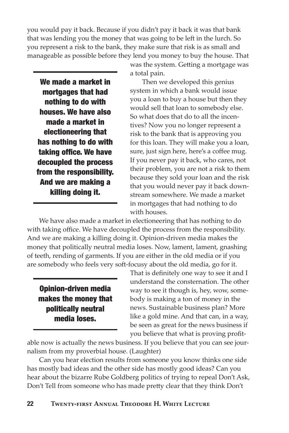you would pay it back. Because if you didn't pay it back it was that bank that was lending you the money that was going to be left in the lurch. So you represent a risk to the bank, they make sure that risk is as small and manageable as possible before they lend you money to buy the house. That

We made a market in mortgages that had nothing to do with houses. We have also made a market in electioneering that has nothing to do with taking office. We have decoupled the process from the responsibility. And we are making a killing doing it.

was the system. Getting a mortgage was a total pain.

Then we developed this genius system in which a bank would issue you a loan to buy a house but then they would sell that loan to somebody else. So what does that do to all the incentives? Now you no longer represent a risk to the bank that is approving you for this loan. They will make you a loan, sure, just sign here, here's a coffee mug. If you never pay it back, who cares, not their problem, you are not a risk to them because they sold your loan and the risk that you would never pay it back downstream somewhere. We made a market in mortgages that had nothing to do with houses.

We have also made a market in electioneering that has nothing to do with taking office. We have decoupled the process from the responsibility. And we are making a killing doing it. Opinion-driven media makes the money that politically neutral media loses. Now, lament, lament, gnashing of teeth, rending of garments. If you are either in the old media or if you are somebody who feels very soft-focusy about the old media, go for it.

Opinion-driven media makes the money that politically neutral media loses.

That is definitely one way to see it and I understand the consternation. The other way to see it though is, hey, wow, somebody is making a ton of money in the news. Sustainable business plan? More like a gold mine. And that can, in a way, be seen as great for the news business if you believe that what is proving profit-

able now is actually the news business. If you believe that you can see journalism from my proverbial house. (Laughter)

Can you hear election results from someone you know thinks one side has mostly bad ideas and the other side has mostly good ideas? Can you hear about the bizarre Rube Goldberg politics of trying to repeal Don't Ask, Don't Tell from someone who has made pretty clear that they think Don't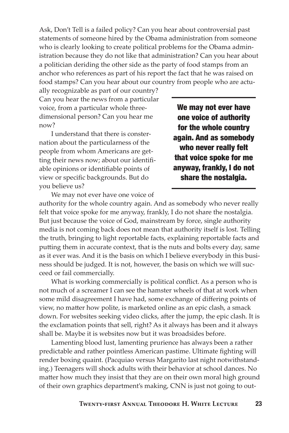Ask, Don't Tell is a failed policy? Can you hear about controversial past statements of someone hired by the Obama administration from someone who is clearly looking to create political problems for the Obama administration because they do not like that administration? Can you hear about a politician deriding the other side as the party of food stamps from an anchor who references as part of his report the fact that he was raised on food stamps? Can you hear about our country from people who are actu-

ally recognizable as part of our country? Can you hear the news from a particular voice, from a particular whole threedimensional person? Can you hear me now?

I understand that there is consternation about the particularness of the people from whom Americans are getting their news now; about our identifiable opinions or identifiable points of view or specific backgrounds. But do you believe us?

We may not ever have one voice of authority for the whole country again. And as somebody who never really felt that voice spoke for me anyway, frankly, I do not share the nostalgia.

We may not ever have one voice of

authority for the whole country again. And as somebody who never really felt that voice spoke for me anyway, frankly, I do not share the nostalgia. But just because the voice of God, mainstream by force, single authority media is not coming back does not mean that authority itself is lost. Telling the truth, bringing to light reportable facts, explaining reportable facts and putting them in accurate context, that is the nuts and bolts every day, same as it ever was. And it is the basis on which I believe everybody in this business should be judged. It is not, however, the basis on which we will succeed or fail commercially.

What is working commercially is political conflict. As a person who is not much of a screamer I can see the hamster wheels of that at work when some mild disagreement I have had, some exchange of differing points of view, no matter how polite, is marketed online as an epic clash, a smack down. For websites seeking video clicks, after the jump, the epic clash. It is the exclamation points that sell, right? As it always has been and it always shall be. Maybe it is websites now but it was broadsides before.

Lamenting blood lust, lamenting prurience has always been a rather predictable and rather pointless American pastime. Ultimate fighting will render boxing quaint. (Pacquiao versus Margarito last night notwithstanding.) Teenagers will shock adults with their behavior at school dances. No matter how much they insist that they are on their own moral high ground of their own graphics department's making, CNN is just not going to out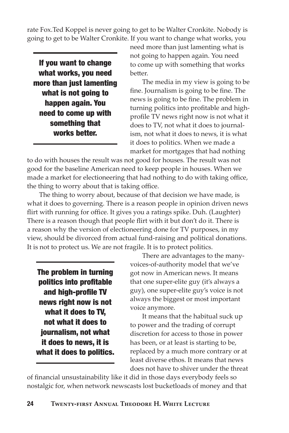rate Fox.Ted Koppel is never going to get to be Walter Cronkite. Nobody is going to get to be Walter Cronkite. If you want to change what works, you

If you want to change what works, you need more than just lamenting what is not going to happen again. You need to come up with something that works better.

need more than just lamenting what is not going to happen again. You need to come up with something that works better.

The media in my view is going to be fine. Journalism is going to be fine. The news is going to be fine. The problem in turning politics into profitable and highprofile TV news right now is not what it does to TV, not what it does to journalism, not what it does to news, it is what it does to politics. When we made a market for mortgages that had nothing

to do with houses the result was not good for houses. The result was not good for the baseline American need to keep people in houses. When we made a market for electioneering that had nothing to do with taking office, the thing to worry about that is taking office.

The thing to worry about, because of that decision we have made, is what it does to governing. There is a reason people in opinion driven news flirt with running for office. It gives you a ratings spike. Duh. (Laughter) There is a reason though that people flirt with it but don't do it. There is a reason why the version of electioneering done for TV purposes, in my view, should be divorced from actual fund-raising and political donations. It is not to protect us. We are not fragile. It is to protect politics.

The problem in turning politics into profitable and high-profile TV news right now is not what it does to TV, not what it does to journalism, not what it does to news, it is what it does to politics.

There are advantages to the manyvoices-of-authority model that we've got now in American news. It means that one super-elite guy (it's always a guy), one super-elite guy's voice is not always the biggest or most important voice anymore.

It means that the habitual suck up to power and the trading of corrupt discretion for access to those in power has been, or at least is starting to be, replaced by a much more contrary or at least diverse ethos. It means that news does not have to shiver under the threat

of financial unsustainability like it did in those days everybody feels so nostalgic for, when network newscasts lost bucketloads of money and that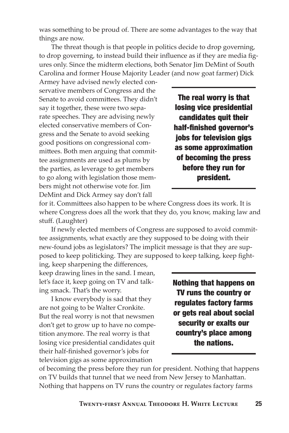was something to be proud of. There are some advantages to the way that things are now.

The threat though is that people in politics decide to drop governing, to drop governing, to instead build their influence as if they are media figures only. Since the midterm elections, both Senator Jim DeMint of South Carolina and former House Majority Leader (and now goat farmer) Dick

Armey have advised newly elected conservative members of Congress and the Senate to avoid committees. They didn't say it together, these were two separate speeches. They are advising newly elected conservative members of Congress and the Senate to avoid seeking good positions on congressional committees. Both men arguing that committee assignments are used as plums by the parties, as leverage to get members to go along with legislation those members might not otherwise vote for. Jim DeMint and Dick Armey say don't fall

The real worry is that losing vice presidential candidates quit their half-finished governor's jobs for television gigs as some approximation of becoming the press before they run for president.

for it. Committees also happen to be where Congress does its work. It is where Congress does all the work that they do, you know, making law and stuff. (Laughter)

If newly elected members of Congress are supposed to avoid committee assignments, what exactly are they supposed to be doing with their new-found jobs as legislators? The implicit message is that they are supposed to keep politicking. They are supposed to keep talking, keep fight-

ing, keep sharpening the differences, keep drawing lines in the sand. I mean, let's face it, keep going on TV and talking smack. That's the worry.

I know everybody is sad that they are not going to be Walter Cronkite. But the real worry is not that newsmen don't get to grow up to have no competition anymore. The real worry is that losing vice presidential candidates quit their half-finished governor's jobs for television gigs as some approximation

Nothing that happens on TV runs the country or regulates factory farms or gets real about social security or exalts our country's place among the nations.

of becoming the press before they run for president. Nothing that happens on TV builds that tunnel that we need from New Jersey to Manhattan. Nothing that happens on TV runs the country or regulates factory farms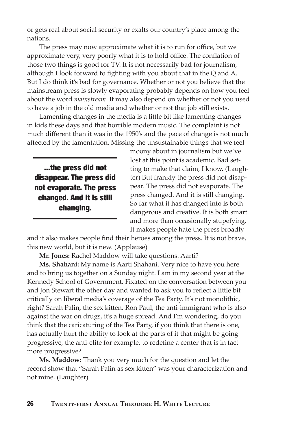or gets real about social security or exalts our country's place among the nations.

The press may now approximate what it is to run for office, but we approximate very, very poorly what it is to hold office. The conflation of those two things is good for TV. It is not necessarily bad for journalism, although I look forward to fighting with you about that in the Q and A. But I do think it's bad for governance. Whether or not you believe that the mainstream press is slowly evaporating probably depends on how you feel about the word *mainstream*. It may also depend on whether or not you used to have a job in the old media and whether or not that job still exists.

Lamenting changes in the media is a little bit like lamenting changes in kids these days and that horrible modern music. The complaint is not much different than it was in the 1950's and the pace of change is not much affected by the lamentation. Missing the unsustainable things that we feel

...the press did not disappear. The press did not evaporate. The press changed. And it is still changing.

moony about in journalism but we've lost at this point is academic. Bad setting to make that claim, I know. (Laughter) But frankly the press did not disappear. The press did not evaporate. The press changed. And it is still changing. So far what it has changed into is both dangerous and creative. It is both smart and more than occasionally stupefying. It makes people hate the press broadly

and it also makes people find their heroes among the press. It is not brave, this new world, but it is new. (Applause)

**Mr. Jones:** Rachel Maddow will take questions. Aarti?

**Ms. Shahani:** My name is Aarti Shahani. Very nice to have you here and to bring us together on a Sunday night. I am in my second year at the Kennedy School of Government. Fixated on the conversation between you and Jon Stewart the other day and wanted to ask you to reflect a little bit critically on liberal media's coverage of the Tea Party. It's not monolithic, right? Sarah Palin, the sex kitten, Ron Paul, the anti-immigrant who is also against the war on drugs, it's a huge spread. And I'm wondering, do you think that the caricaturing of the Tea Party, if you think that there is one, has actually hurt the ability to look at the parts of it that might be going progressive, the anti-elite for example, to redefine a center that is in fact more progressive?

**Ms. Maddow:** Thank you very much for the question and let the record show that "Sarah Palin as sex kitten" was your characterization and not mine. (Laughter)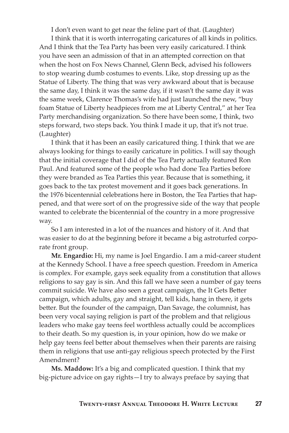I don't even want to get near the feline part of that. (Laughter)

I think that it is worth interrogating caricatures of all kinds in politics. And I think that the Tea Party has been very easily caricatured. I think you have seen an admission of that in an attempted correction on that when the host on Fox News Channel, Glenn Beck, advised his followers to stop wearing dumb costumes to events. Like, stop dressing up as the Statue of Liberty. The thing that was very awkward about that is because the same day, I think it was the same day, if it wasn't the same day it was the same week, Clarence Thomas's wife had just launched the new, "buy foam Statue of Liberty headpieces from me at Liberty Central," at her Tea Party merchandising organization. So there have been some, I think, two steps forward, two steps back. You think I made it up, that it's not true. (Laughter)

I think that it has been an easily caricatured thing. I think that we are always looking for things to easily caricature in politics. I will say though that the initial coverage that I did of the Tea Party actually featured Ron Paul. And featured some of the people who had done Tea Parties before they were branded as Tea Parties this year. Because that is something, it goes back to the tax protest movement and it goes back generations. In the 1976 bicentennial celebrations here in Boston, the Tea Parties that happened, and that were sort of on the progressive side of the way that people wanted to celebrate the bicentennial of the country in a more progressive way.

So I am interested in a lot of the nuances and history of it. And that was easier to do at the beginning before it became a big astroturfed corporate front group.

**Mr. Engardio:** Hi, my name is Joel Engardio. I am a mid-career student at the Kennedy School. I have a free speech question. Freedom in America is complex. For example, gays seek equality from a constitution that allows religions to say gay is sin. And this fall we have seen a number of gay teens commit suicide. We have also seen a great campaign, the It Gets Better campaign, which adults, gay and straight, tell kids, hang in there, it gets better. But the founder of the campaign, Dan Savage, the columnist, has been very vocal saying religion is part of the problem and that religious leaders who make gay teens feel worthless actually could be accomplices to their death. So my question is, in your opinion, how do we make or help gay teens feel better about themselves when their parents are raising them in religions that use anti-gay religious speech protected by the First Amendment?

**Ms. Maddow:** It's a big and complicated question. I think that my big-picture advice on gay rights—I try to always preface by saying that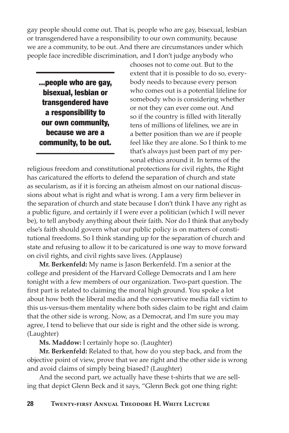gay people should come out. That is, people who are gay, bisexual, lesbian or transgendered have a responsibility to our own community, because we are a community, to be out. And there are circumstances under which people face incredible discrimination, and I don't judge anybody who

...people who are gay, bisexual, lesbian or transgendered have a responsibility to our own community, because we are a community, to be out.

chooses not to come out. But to the extent that it is possible to do so, everybody needs to because every person who comes out is a potential lifeline for somebody who is considering whether or not they can ever come out. And so if the country is filled with literally tens of millions of lifelines, we are in a better position than we are if people feel like they are alone. So I think to me that's always just been part of my personal ethics around it. In terms of the

religious freedom and constitutional protections for civil rights, the Right has caricatured the efforts to defend the separation of church and state as secularism, as if it is forcing an atheism almost on our national discussions about what is right and what is wrong. I am a very firm believer in the separation of church and state because I don't think I have any right as a public figure, and certainly if I were ever a politician (which I will never be), to tell anybody anything about their faith. Nor do I think that anybody else's faith should govern what our public policy is on matters of constitutional freedoms. So I think standing up for the separation of church and state and refusing to allow it to be caricatured is one way to move forward on civil rights, and civil rights save lives. (Applause)

**Mr. Berkenfeld:** My name is Jason Berkenfeld. I'm a senior at the college and president of the Harvard College Democrats and I am here tonight with a few members of our organization. Two-part question. The first part is related to claiming the moral high ground. You spoke a lot about how both the liberal media and the conservative media fall victim to this us-versus-them mentality where both sides claim to be right and claim that the other side is wrong. Now, as a Democrat, and I'm sure you may agree, I tend to believe that our side is right and the other side is wrong. (Laughter)

**Ms. Maddow:** I certainly hope so. (Laughter)

**Mr. Berkenfeld:** Related to that, how do you step back, and from the objective point of view, prove that we are right and the other side is wrong and avoid claims of simply being biased? (Laughter)

And the second part, we actually have these t-shirts that we are selling that depict Glenn Beck and it says, "Glenn Beck got one thing right: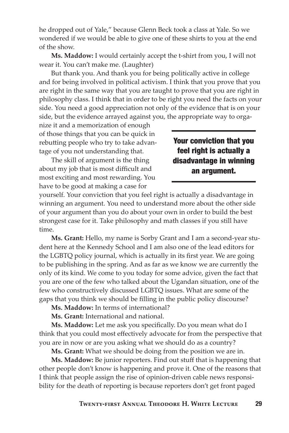he dropped out of Yale," because Glenn Beck took a class at Yale. So we wondered if we would be able to give one of these shirts to you at the end of the show.

**Ms. Maddow:** I would certainly accept the t-shirt from you, I will not wear it. You can't make me. (Laughter)

But thank you. And thank you for being politically active in college and for being involved in political activism. I think that you prove that you are right in the same way that you are taught to prove that you are right in philosophy class. I think that in order to be right you need the facts on your side. You need a good appreciation not only of the evidence that is on your side, but the evidence arrayed against you, the appropriate way to orga-

nize it and a memorization of enough of those things that you can be quick in rebutting people who try to take advantage of you not understanding that.

The skill of argument is the thing about my job that is most difficult and most exciting and most rewarding. You have to be good at making a case for

Your conviction that you feel right is actually a disadvantage in winning an argument.

yourself. Your conviction that you feel right is actually a disadvantage in winning an argument. You need to understand more about the other side of your argument than you do about your own in order to build the best strongest case for it. Take philosophy and math classes if you still have time.

**Ms. Grant:** Hello, my name is Sorby Grant and I am a second-year student here at the Kennedy School and I am also one of the lead editors for the LGBTQ policy journal, which is actually in its first year. We are going to be publishing in the spring. And as far as we know we are currently the only of its kind. We come to you today for some advice, given the fact that you are one of the few who talked about the Ugandan situation, one of the few who constructively discussed LGBTQ issues. What are some of the gaps that you think we should be filling in the public policy discourse?

**Ms. Maddow:** In terms of international?

**Ms. Grant:** International and national.

**Ms. Maddow:** Let me ask you specifically. Do you mean what do I think that you could most effectively advocate for from the perspective that you are in now or are you asking what we should do as a country?

**Ms. Grant:** What we should be doing from the position we are in.

**Ms. Maddow:** Be junior reporters. Find out stuff that is happening that other people don't know is happening and prove it. One of the reasons that I think that people assign the rise of opinion-driven cable news responsibility for the death of reporting is because reporters don't get front paged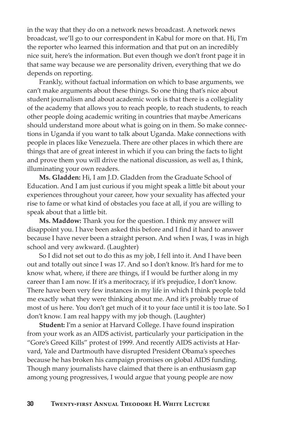in the way that they do on a network news broadcast. A network news broadcast, we'll go to our correspondent in Kabul for more on that. Hi, I'm the reporter who learned this information and that put on an incredibly nice suit, here's the information. But even though we don't front page it in that same way because we are personality driven, everything that we do depends on reporting.

Frankly, without factual information on which to base arguments, we can't make arguments about these things. So one thing that's nice about student journalism and about academic work is that there is a collegiality of the academy that allows you to reach people, to reach students, to reach other people doing academic writing in countries that maybe Americans should understand more about what is going on in them. So make connections in Uganda if you want to talk about Uganda. Make connections with people in places like Venezuela. There are other places in which there are things that are of great interest in which if you can bring the facts to light and prove them you will drive the national discussion, as well as, I think, illuminating your own readers.

**Ms. Gladden:** Hi, I am J.D. Gladden from the Graduate School of Education. And I am just curious if you might speak a little bit about your experiences throughout your career, how your sexuality has affected your rise to fame or what kind of obstacles you face at all, if you are willing to speak about that a little bit.

**Ms. Maddow:** Thank you for the question. I think my answer will disappoint you. I have been asked this before and I find it hard to answer because I have never been a straight person. And when I was, I was in high school and very awkward. (Laughter)

So I did not set out to do this as my job, I fell into it. And I have been out and totally out since I was 17. And so I don't know. It's hard for me to know what, where, if there are things, if I would be further along in my career than I am now. If it's a meritocracy, if it's prejudice, I don't know. There have been very few instances in my life in which I think people told me exactly what they were thinking about me. And it's probably true of most of us here. You don't get much of it to your face until it is too late. So I don't know. I am real happy with my job though. (Laughter)

**Student:** I'm a senior at Harvard College. I have found inspiration from your work as an AIDS activist, particularly your participation in the "Gore's Greed Kills" protest of 1999. And recently AIDS activists at Harvard, Yale and Dartmouth have disrupted President Obama's speeches because he has broken his campaign promises on global AIDS funding. Though many journalists have claimed that there is an enthusiasm gap among young progressives, I would argue that young people are now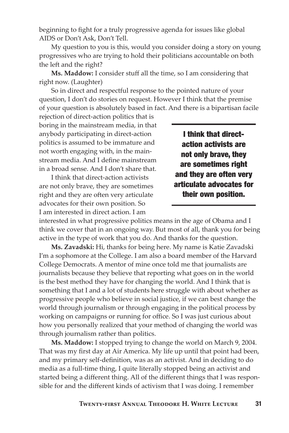beginning to fight for a truly progressive agenda for issues like global AIDS or Don't Ask, Don't Tell.

My question to you is this, would you consider doing a story on young progressives who are trying to hold their politicians accountable on both the left and the right?

**Ms. Maddow:** I consider stuff all the time, so I am considering that right now. (Laughter)

So in direct and respectful response to the pointed nature of your question, I don't do stories on request. However I think that the premise of your question is absolutely based in fact. And there is a bipartisan facile

rejection of direct-action politics that is boring in the mainstream media, in that anybody participating in direct-action politics is assumed to be immature and not worth engaging with, in the mainstream media. And I define mainstream in a broad sense. And I don't share that.

I think that direct-action activists are not only brave, they are sometimes right and they are often very articulate advocates for their own position. So I am interested in direct action. I am

I think that directaction activists are not only brave, they are sometimes right and they are often very articulate advocates for their own position.

interested in what progressive politics means in the age of Obama and I think we cover that in an ongoing way. But most of all, thank you for being active in the type of work that you do. And thanks for the question.

**Ms. Zavadski:** Hi, thanks for being here. My name is Katie Zavadski I'm a sophomore at the College. I am also a board member of the Harvard College Democrats. A mentor of mine once told me that journalists are journalists because they believe that reporting what goes on in the world is the best method they have for changing the world. And I think that is something that I and a lot of students here struggle with about whether as progressive people who believe in social justice, if we can best change the world through journalism or through engaging in the political process by working on campaigns or running for office. So I was just curious about how you personally realized that your method of changing the world was through journalism rather than politics.

**Ms. Maddow:** I stopped trying to change the world on March 9, 2004. That was my first day at Air America. My life up until that point had been, and my primary self-definition, was as an activist. And in deciding to do media as a full-time thing, I quite literally stopped being an activist and started being a different thing. All of the different things that I was responsible for and the different kinds of activism that I was doing. I remember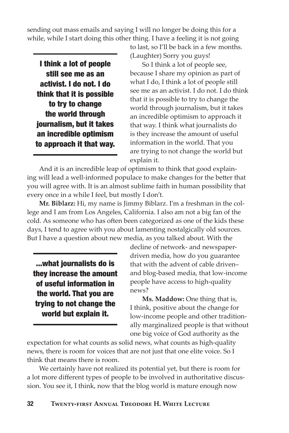sending out mass emails and saying I will no longer be doing this for a while, while I start doing this other thing. I have a feeling it is not going

I think a lot of people still see me as an activist. I do not. I do think that it is possible to try to change the world through journalism, but it takes an incredible optimism to approach it that way. to last, so I'll be back in a few months. (Laughter) Sorry you guys!

So I think a lot of people see, because I share my opinion as part of what I do, I think a lot of people still see me as an activist. I do not. I do think that it is possible to try to change the world through journalism, but it takes an incredible optimism to approach it that way. I think what journalists do is they increase the amount of useful information in the world. That you are trying to not change the world but explain it.

And it is an incredible leap of optimism to think that good explaining will lead a well-informed populace to make changes for the better that you will agree with. It is an almost sublime faith in human possibility that every once in a while I feel, but mostly I don't.

**Mr. Biblarz:** Hi, my name is Jimmy Biblarz. I'm a freshman in the college and I am from Los Angeles, California. I also am not a big fan of the cold. As someone who has often been categorized as one of the kids these days, I tend to agree with you about lamenting nostalgically old sources. But I have a question about new media, as you talked about. With the

...what journalists do is they increase the amount of useful information in the world. That you are trying to not change the world but explain it.

decline of network- and newspaperdriven media, how do you guarantee that with the advent of cable driven– and blog-based media, that low-income people have access to high-quality news?

**Ms. Maddow:** One thing that is, I think, positive about the change for low-income people and other traditionally marginalized people is that without one big voice of God authority as the

expectation for what counts as solid news, what counts as high-quality news, there is room for voices that are not just that one elite voice. So I think that means there is room.

We certainly have not realized its potential yet, but there is room for a lot more different types of people to be involved in authoritative discussion. You see it, I think, now that the blog world is mature enough now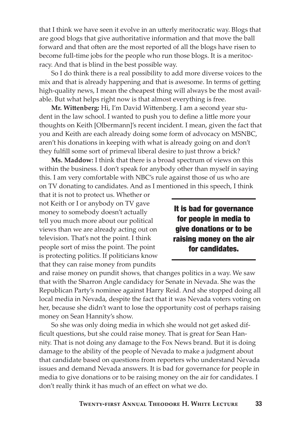that I think we have seen it evolve in an utterly meritocratic way. Blogs that are good blogs that give authoritative information and that move the ball forward and that often are the most reported of all the blogs have risen to become full-time jobs for the people who run those blogs. It is a meritocracy. And that is blind in the best possible way.

So I do think there is a real possibility to add more diverse voices to the mix and that is already happening and that is awesome. In terms of getting high-quality news, I mean the cheapest thing will always be the most available. But what helps right now is that almost everything is free.

**Mr. Wittenberg:** Hi, I'm David Wittenberg. I am a second year student in the law school. I wanted to push you to define a little more your thoughts on Keith [Olbermann]'s recent incident. I mean, given the fact that you and Keith are each already doing some form of advocacy on MSNBC, aren't his donations in keeping with what is already going on and don't they fulfill some sort of primeval liberal desire to just throw a brick?

**Ms. Maddow:** I think that there is a broad spectrum of views on this within the business. I don't speak for anybody other than myself in saying this. I am very comfortable with NBC's rule against those of us who are on TV donating to candidates. And as I mentioned in this speech, I think

that it is not to protect us. Whether or not Keith or I or anybody on TV gave money to somebody doesn't actually tell you much more about our political views than we are already acting out on television. That's not the point. I think people sort of miss the point. The point is protecting politics. If politicians know that they can raise money from pundits

It is bad for governance for people in media to give donations or to be raising money on the air for candidates.

and raise money on pundit shows, that changes politics in a way. We saw that with the Sharron Angle candidacy for Senate in Nevada. She was the Republican Party's nominee against Harry Reid. And she stopped doing all local media in Nevada, despite the fact that it was Nevada voters voting on her, because she didn't want to lose the opportunity cost of perhaps raising money on Sean Hannity's show.

So she was only doing media in which she would not get asked difficult questions, but she could raise money. That is great for Sean Hannity. That is not doing any damage to the Fox News brand. But it is doing damage to the ability of the people of Nevada to make a judgment about that candidate based on questions from reporters who understand Nevada issues and demand Nevada answers. It is bad for governance for people in media to give donations or to be raising money on the air for candidates. I don't really think it has much of an effect on what we do.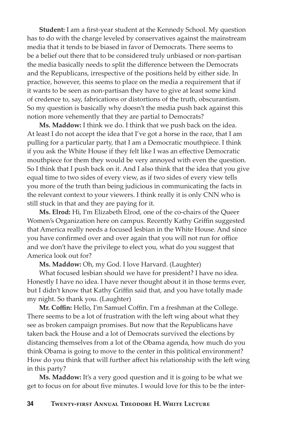**Student:** I am a first-year student at the Kennedy School. My question has to do with the charge leveled by conservatives against the mainstream media that it tends to be biased in favor of Democrats. There seems to be a belief out there that to be considered truly unbiased or non-partisan the media basically needs to split the difference between the Democrats and the Republicans, irrespective of the positions held by either side. In practice, however, this seems to place on the media a requirement that if it wants to be seen as non-partisan they have to give at least some kind of credence to, say, fabrications or distortions of the truth, obscurantism. So my question is basically why doesn't the media push back against this notion more vehemently that they are partial to Democrats?

**Ms. Maddow:** I think we do. I think that we push back on the idea. At least I do not accept the idea that I've got a horse in the race, that I am pulling for a particular party, that I am a Democratic mouthpiece. I think if you ask the White House if they felt like I was an effective Democratic mouthpiece for them they would be very annoyed with even the question. So I think that I push back on it. And I also think that the idea that you give equal time to two sides of every view, as if two sides of every view tells you more of the truth than being judicious in communicating the facts in the relevant context to your viewers. I think really it is only CNN who is still stuck in that and they are paying for it.

**Ms. Elrod:** Hi, I'm Elizabeth Elrod, one of the co-chairs of the Queer Women's Organization here on campus. Recently Kathy Griffin suggested that America really needs a focused lesbian in the White House. And since you have confirmed over and over again that you will not run for office and we don't have the privilege to elect you, what do you suggest that America look out for?

**Ms. Maddow:** Oh, my God. I love Harvard. (Laughter)

What focused lesbian should we have for president? I have no idea. Honestly I have no idea. I have never thought about it in those terms ever, but I didn't know that Kathy Griffin said that, and you have totally made my night. So thank you. (Laughter)

**Mr. Coffin:** Hello, I'm Samuel Coffin. I'm a freshman at the College. There seems to be a lot of frustration with the left wing about what they see as broken campaign promises. But now that the Republicans have taken back the House and a lot of Democrats survived the elections by distancing themselves from a lot of the Obama agenda, how much do you think Obama is going to move to the center in this political environment? How do you think that will further affect his relationship with the left wing in this party?

**Ms. Maddow:** It's a very good question and it is going to be what we get to focus on for about five minutes. I would love for this to be the inter-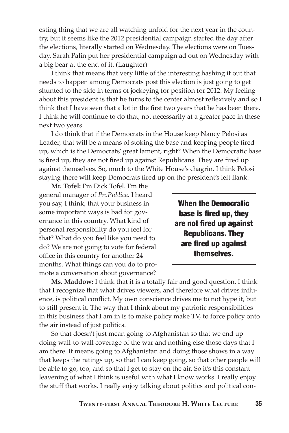esting thing that we are all watching unfold for the next year in the country, but it seems like the 2012 presidential campaign started the day after the elections, literally started on Wednesday. The elections were on Tuesday. Sarah Palin put her presidential campaign ad out on Wednesday with a big bear at the end of it. (Laughter)

I think that means that very little of the interesting hashing it out that needs to happen among Democrats post this election is just going to get shunted to the side in terms of jockeying for position for 2012. My feeling about this president is that he turns to the center almost reflexively and so I think that I have seen that a lot in the first two years that he has been there. I think he will continue to do that, not necessarily at a greater pace in these next two years.

I do think that if the Democrats in the House keep Nancy Pelosi as Leader, that will be a means of stoking the base and keeping people fired up, which is the Democrats' great lament, right? When the Democratic base is fired up, they are not fired up against Republicans. They are fired up against themselves. So, much to the White House's chagrin, I think Pelosi staying there will keep Democrats fired up on the president's left flank.

**Mr. Tofel:** I'm Dick Tofel. I'm the general manager of *ProPublica*. I heard you say, I think, that your business in some important ways is bad for governance in this country. What kind of personal responsibility do you feel for that? What do you feel like you need to do? We are not going to vote for federal office in this country for another 24 months. What things can you do to promote a conversation about governance?

When the Democratic base is fired up, they are not fired up against Republicans. They are fired up against themselves.

**Ms. Maddow:** I think that it is a totally fair and good question. I think that I recognize that what drives viewers, and therefore what drives influence, is political conflict. My own conscience drives me to not hype it, but to still present it. The way that I think about my patriotic responsibilities in this business that I am in is to make policy make TV, to force policy onto the air instead of just politics.

So that doesn't just mean going to Afghanistan so that we end up doing wall-to-wall coverage of the war and nothing else those days that I am there. It means going to Afghanistan and doing those shows in a way that keeps the ratings up, so that I can keep going, so that other people will be able to go, too, and so that I get to stay on the air. So it's this constant leavening of what I think is useful with what I know works. I really enjoy the stuff that works. I really enjoy talking about politics and political con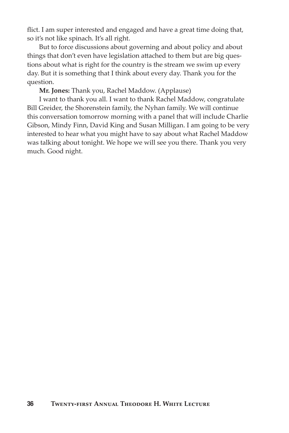flict. I am super interested and engaged and have a great time doing that, so it's not like spinach. It's all right.

But to force discussions about governing and about policy and about things that don't even have legislation attached to them but are big questions about what is right for the country is the stream we swim up every day. But it is something that I think about every day. Thank you for the question.

**Mr. Jones:** Thank you, Rachel Maddow. (Applause)

I want to thank you all. I want to thank Rachel Maddow, congratulate Bill Greider, the Shorenstein family, the Nyhan family. We will continue this conversation tomorrow morning with a panel that will include Charlie Gibson, Mindy Finn, David King and Susan Milligan. I am going to be very interested to hear what you might have to say about what Rachel Maddow was talking about tonight. We hope we will see you there. Thank you very much. Good night.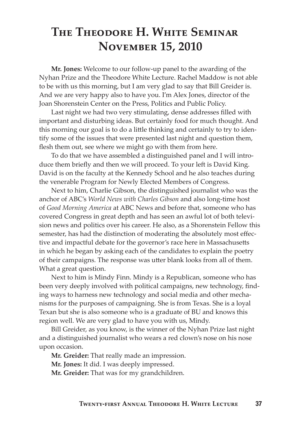## **The Theodore H. White Seminar November 15, 2010**

**Mr. Jones:** Welcome to our follow-up panel to the awarding of the Nyhan Prize and the Theodore White Lecture. Rachel Maddow is not able to be with us this morning, but I am very glad to say that Bill Greider is. And we are very happy also to have you. I'm Alex Jones, director of the Joan Shorenstein Center on the Press, Politics and Public Policy.

Last night we had two very stimulating, dense addresses filled with important and disturbing ideas. But certainly food for much thought. And this morning our goal is to do a little thinking and certainly to try to identify some of the issues that were presented last night and question them, flesh them out, see where we might go with them from here.

To do that we have assembled a distinguished panel and I will introduce them briefly and then we will proceed. To your left is David King. David is on the faculty at the Kennedy School and he also teaches during the venerable Program for Newly Elected Members of Congress.

Next to him, Charlie Gibson, the distinguished journalist who was the anchor of ABC's *World News with Charles Gibson* and also long-time host of *Good Morning America* at ABC News and before that, someone who has covered Congress in great depth and has seen an awful lot of both television news and politics over his career. He also, as a Shorenstein Fellow this semester, has had the distinction of moderating the absolutely most effective and impactful debate for the governor's race here in Massachusetts in which he began by asking each of the candidates to explain the poetry of their campaigns. The response was utter blank looks from all of them. What a great question.

Next to him is Mindy Finn. Mindy is a Republican, someone who has been very deeply involved with political campaigns, new technology, finding ways to harness new technology and social media and other mechanisms for the purposes of campaigning. She is from Texas. She is a loyal Texan but she is also someone who is a graduate of BU and knows this region well. We are very glad to have you with us, Mindy.

Bill Greider, as you know, is the winner of the Nyhan Prize last night and a distinguished journalist who wears a red clown's nose on his nose upon occasion.

**Mr. Greider:** That really made an impression.

**Mr. Jones:** It did. I was deeply impressed.

**Mr. Greider:** That was for my grandchildren.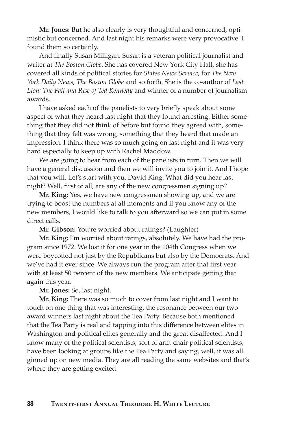**Mr. Jones:** But he also clearly is very thoughtful and concerned, optimistic but concerned. And last night his remarks were very provocative. I found them so certainly.

And finally Susan Milligan. Susan is a veteran political journalist and writer at *The Boston Globe*. She has covered New York City Hall, she has covered all kinds of political stories for *States News Service*, for *The New York Daily News*, *The Boston Globe* and so forth. She is the co-author of *Last Lion: The Fall and Rise of Ted Kennedy* and winner of a number of journalism awards.

I have asked each of the panelists to very briefly speak about some aspect of what they heard last night that they found arresting. Either something that they did not think of before but found they agreed with, something that they felt was wrong, something that they heard that made an impression. I think there was so much going on last night and it was very hard especially to keep up with Rachel Maddow.

We are going to hear from each of the panelists in turn. Then we will have a general discussion and then we will invite you to join it. And I hope that you will. Let's start with you, David King. What did you hear last night? Well, first of all, are any of the new congressmen signing up?

**Mr. King:** Yes, we have new congressmen showing up, and we are trying to boost the numbers at all moments and if you know any of the new members, I would like to talk to you afterward so we can put in some direct calls.

**Mr. Gibson:** You're worried about ratings? (Laughter)

**Mr. King:** I'm worried about ratings, absolutely. We have had the program since 1972. We lost it for one year in the 104th Congress when we were boycotted not just by the Republicans but also by the Democrats. And we've had it ever since. We always run the program after that first year with at least 50 percent of the new members. We anticipate getting that again this year.

**Mr. Jones:** So, last night.

**Mr. King:** There was so much to cover from last night and I want to touch on one thing that was interesting, the resonance between our two award winners last night about the Tea Party. Because both mentioned that the Tea Party is real and tapping into this difference between elites in Washington and political elites generally and the great disaffected. And I know many of the political scientists, sort of arm-chair political scientists, have been looking at groups like the Tea Party and saying, well, it was all ginned up on new media. They are all reading the same websites and that's where they are getting excited.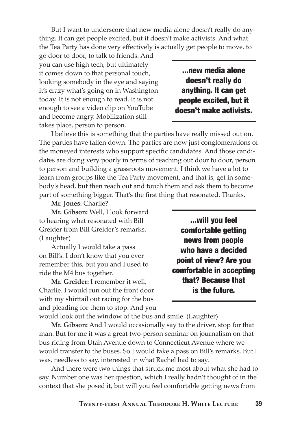But I want to underscore that new media alone doesn't really do anything. It can get people excited, but it doesn't make activists. And what the Tea Party has done very effectively is actually get people to move, to

go door to door, to talk to friends. And you can use high tech, but ultimately it comes down to that personal touch, looking somebody in the eye and saying it's crazy what's going on in Washington today. It is not enough to read. It is not enough to see a video clip on YouTube and become angry. Mobilization still takes place, person to person.

...new media alone doesn't really do anything. It can get people excited, but it doesn't make activists.

I believe this is something that the parties have really missed out on. The parties have fallen down. The parties are now just conglomerations of the moneyed interests who support specific candidates. And those candidates are doing very poorly in terms of reaching out door to door, person to person and building a grassroots movement. I think we have a lot to learn from groups like the Tea Party movement, and that is, get in somebody's head, but then reach out and touch them and ask them to become part of something bigger. That's the first thing that resonated. Thanks.

#### **Mr. Jones:** Charlie?

**Mr. Gibson:** Well, I look forward to hearing what resonated with Bill Greider from Bill Greider's remarks. (Laughter)

Actually I would take a pass on Bill's. I don't know that you ever remember this, but you and I used to ride the M4 bus together.

**Mr. Greider:** I remember it well, Charlie. I would run out the front door with my shirttail out racing for the bus and pleading for them to stop. And you

...will you feel comfortable getting news from people who have a decided point of view? Are you comfortable in accepting that? Because that is the future.

would look out the window of the bus and smile. (Laughter)

**Mr. Gibson:** And I would occasionally say to the driver, stop for that man. But for me it was a great two-person seminar on journalism on that bus riding from Utah Avenue down to Connecticut Avenue where we would transfer to the buses. So I would take a pass on Bill's remarks. But I was, needless to say, interested in what Rachel had to say.

And there were two things that struck me most about what she had to say. Number one was her question, which I really hadn't thought of in the context that she posed it, but will you feel comfortable getting news from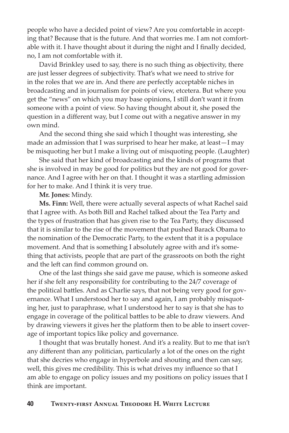people who have a decided point of view? Are you comfortable in accepting that? Because that is the future. And that worries me. I am not comfortable with it. I have thought about it during the night and I finally decided, no, I am not comfortable with it.

David Brinkley used to say, there is no such thing as objectivity, there are just lesser degrees of subjectivity. That's what we need to strive for in the roles that we are in. And there are perfectly acceptable niches in broadcasting and in journalism for points of view, etcetera. But where you get the "news" on which you may base opinions, I still don't want it from someone with a point of view. So having thought about it, she posed the question in a different way, but I come out with a negative answer in my own mind.

And the second thing she said which I thought was interesting, she made an admission that I was surprised to hear her make, at least—I may be misquoting her but I make a living out of misquoting people. (Laughter)

She said that her kind of broadcasting and the kinds of programs that she is involved in may be good for politics but they are not good for governance. And I agree with her on that. I thought it was a startling admission for her to make. And I think it is very true.

#### **Mr. Jones:** Mindy.

**Ms. Finn:** Well, there were actually several aspects of what Rachel said that I agree with. As both Bill and Rachel talked about the Tea Party and the types of frustration that has given rise to the Tea Party, they discussed that it is similar to the rise of the movement that pushed Barack Obama to the nomination of the Democratic Party, to the extent that it is a populace movement. And that is something I absolutely agree with and it's something that activists, people that are part of the grassroots on both the right and the left can find common ground on.

One of the last things she said gave me pause, which is someone asked her if she felt any responsibility for contributing to the 24/7 coverage of the political battles. And as Charlie says, that not being very good for governance. What I understood her to say and again, I am probably misquoting her, just to paraphrase, what I understood her to say is that she has to engage in coverage of the political battles to be able to draw viewers. And by drawing viewers it gives her the platform then to be able to insert coverage of important topics like policy and governance.

I thought that was brutally honest. And it's a reality. But to me that isn't any different than any politician, particularly a lot of the ones on the right that she decries who engage in hyperbole and shouting and then can say, well, this gives me credibility. This is what drives my influence so that I am able to engage on policy issues and my positions on policy issues that I think are important.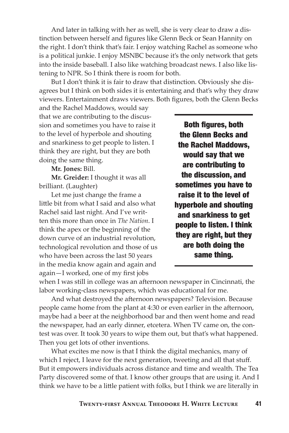And later in talking with her as well, she is very clear to draw a distinction between herself and figures like Glenn Beck or Sean Hannity on the right. I don't think that's fair. I enjoy watching Rachel as someone who is a political junkie. I enjoy MSNBC because it's the only network that gets into the inside baseball. I also like watching broadcast news. I also like listening to NPR. So I think there is room for both.

But I don't think it is fair to draw that distinction. Obviously she disagrees but I think on both sides it is entertaining and that's why they draw viewers. Entertainment draws viewers. Both figures, both the Glenn Becks

and the Rachel Maddows, would say that we are contributing to the discussion and sometimes you have to raise it to the level of hyperbole and shouting and snarkiness to get people to listen. I think they are right, but they are both doing the same thing.

**Mr. Jones:** Bill.

**Mr. Greider:** I thought it was all brilliant. (Laughter)

Let me just change the frame a little bit from what I said and also what Rachel said last night. And I've written this more than once in *The Nation*. I think the apex or the beginning of the down curve of an industrial revolution, technological revolution and those of us who have been across the last 50 years in the media know again and again and again—I worked, one of my first jobs

Both figures, both the Glenn Becks and the Rachel Maddows, would say that we are contributing to the discussion, and sometimes you have to raise it to the level of hyperbole and shouting and snarkiness to get people to listen. I think they are right, but they are both doing the same thing.

when I was still in college was an afternoon newspaper in Cincinnati, the labor working-class newspapers, which was educational for me.

And what destroyed the afternoon newspapers? Television. Because people came home from the plant at 4:30 or even earlier in the afternoon, maybe had a beer at the neighborhood bar and then went home and read the newspaper, had an early dinner, etcetera. When TV came on, the contest was over. It took 30 years to wipe them out, but that's what happened. Then you get lots of other inventions.

What excites me now is that I think the digital mechanics, many of which I reject, I leave for the next generation, tweeting and all that stuff. But it empowers individuals across distance and time and wealth. The Tea Party discovered some of that. I know other groups that are using it. And I think we have to be a little patient with folks, but I think we are literally in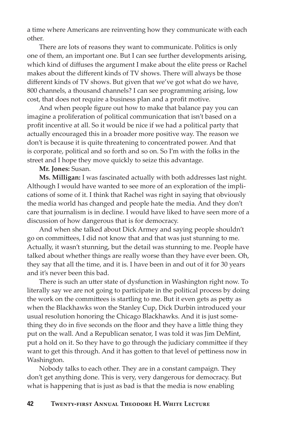a time where Americans are reinventing how they communicate with each other.

There are lots of reasons they want to communicate. Politics is only one of them, an important one. But I can see further developments arising, which kind of diffuses the argument I make about the elite press or Rachel makes about the different kinds of TV shows. There will always be those different kinds of TV shows. But given that we've got what do we have, 800 channels, a thousand channels? I can see programming arising, low cost, that does not require a business plan and a profit motive.

And when people figure out how to make that balance pay you can imagine a proliferation of political communication that isn't based on a profit incentive at all. So it would be nice if we had a political party that actually encouraged this in a broader more positive way. The reason we don't is because it is quite threatening to concentrated power. And that is corporate, political and so forth and so on. So I'm with the folks in the street and I hope they move quickly to seize this advantage.

#### **Mr. Jones:** Susan.

**Ms. Milligan:** I was fascinated actually with both addresses last night. Although I would have wanted to see more of an exploration of the implications of some of it. I think that Rachel was right in saying that obviously the media world has changed and people hate the media. And they don't care that journalism is in decline. I would have liked to have seen more of a discussion of how dangerous that is for democracy.

And when she talked about Dick Armey and saying people shouldn't go on committees, I did not know that and that was just stunning to me. Actually, it wasn't stunning, but the detail was stunning to me. People have talked about whether things are really worse than they have ever been. Oh, they say that all the time, and it is. I have been in and out of it for 30 years and it's never been this bad.

There is such an utter state of dysfunction in Washington right now. To literally say we are not going to participate in the political process by doing the work on the committees is startling to me. But it even gets as petty as when the Blackhawks won the Stanley Cup, Dick Durbin introduced your usual resolution honoring the Chicago Blackhawks. And it is just something they do in five seconds on the floor and they have a little thing they put on the wall. And a Republican senator, I was told it was Jim DeMint, put a hold on it. So they have to go through the judiciary committee if they want to get this through. And it has gotten to that level of pettiness now in Washington.

Nobody talks to each other. They are in a constant campaign. They don't get anything done. This is very, very dangerous for democracy. But what is happening that is just as bad is that the media is now enabling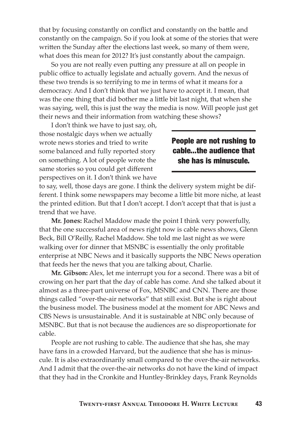that by focusing constantly on conflict and constantly on the battle and constantly on the campaign. So if you look at some of the stories that were written the Sunday after the elections last week, so many of them were, what does this mean for 2012? It's just constantly about the campaign.

So you are not really even putting any pressure at all on people in public office to actually legislate and actually govern. And the nexus of these two trends is so terrifying to me in terms of what it means for a democracy. And I don't think that we just have to accept it. I mean, that was the one thing that did bother me a little bit last night, that when she was saying, well, this is just the way the media is now. Will people just get their news and their information from watching these shows?

I don't think we have to just say, oh, those nostalgic days when we actually wrote news stories and tried to write some balanced and fully reported story on something. A lot of people wrote the same stories so you could get different perspectives on it. I don't think we have

#### People are not rushing to cable...the audience that she has is minuscule.

to say, well, those days are gone. I think the delivery system might be different. I think some newspapers may become a little bit more niche, at least the printed edition. But that I don't accept. I don't accept that that is just a trend that we have.

**Mr. Jones:** Rachel Maddow made the point I think very powerfully, that the one successful area of news right now is cable news shows, Glenn Beck, Bill O'Reilly, Rachel Maddow. She told me last night as we were walking over for dinner that MSNBC is essentially the only profitable enterprise at NBC News and it basically supports the NBC News operation that feeds her the news that you are talking about, Charlie.

**Mr. Gibson:** Alex, let me interrupt you for a second. There was a bit of crowing on her part that the day of cable has come. And she talked about it almost as a three-part universe of Fox, MSNBC and CNN. There are those things called "over-the-air networks" that still exist. But she is right about the business model. The business model at the moment for ABC News and CBS News is unsustainable. And it is sustainable at NBC only because of MSNBC. But that is not because the audiences are so disproportionate for cable.

People are not rushing to cable. The audience that she has, she may have fans in a crowded Harvard, but the audience that she has is minuscule. It is also extraordinarily small compared to the over-the-air networks. And I admit that the over-the-air networks do not have the kind of impact that they had in the Cronkite and Huntley-Brinkley days, Frank Reynolds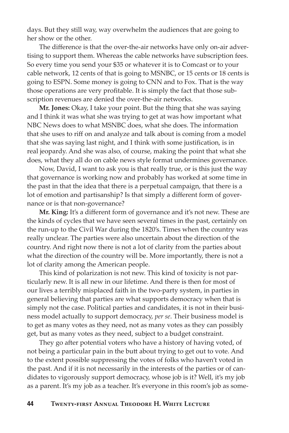days. But they still way, way overwhelm the audiences that are going to her show or the other.

The difference is that the over-the-air networks have only on-air advertising to support them. Whereas the cable networks have subscription fees. So every time you send your \$35 or whatever it is to Comcast or to your cable network, 12 cents of that is going to MSNBC, or 15 cents or 18 cents is going to ESPN. Some money is going to CNN and to Fox. That is the way those operations are very profitable. It is simply the fact that those subscription revenues are denied the over-the-air networks.

**Mr. Jones:** Okay, I take your point. But the thing that she was saying and I think it was what she was trying to get at was how important what NBC News does to what MSNBC does, what she does. The information that she uses to riff on and analyze and talk about is coming from a model that she was saying last night, and I think with some justification, is in real jeopardy. And she was also, of course, making the point that what she does, what they all do on cable news style format undermines governance.

Now, David, I want to ask you is that really true, or is this just the way that governance is working now and probably has worked at some time in the past in that the idea that there is a perpetual campaign, that there is a lot of emotion and partisanship? Is that simply a different form of governance or is that non-governance?

**Mr. King:** It's a different form of governance and it's not new. These are the kinds of cycles that we have seen several times in the past, certainly on the run-up to the Civil War during the 1820's. Times when the country was really unclear. The parties were also uncertain about the direction of the country. And right now there is not a lot of clarity from the parties about what the direction of the country will be. More importantly, there is not a lot of clarity among the American people.

This kind of polarization is not new. This kind of toxicity is not particularly new. It is all new in our lifetime. And there is then for most of our lives a terribly misplaced faith in the two-party system, in parties in general believing that parties are what supports democracy when that is simply not the case. Political parties and candidates, it is not in their business model actually to support democracy, *per se*. Their business model is to get as many votes as they need, not as many votes as they can possibly get, but as many votes as they need, subject to a budget constraint.

They go after potential voters who have a history of having voted, of not being a particular pain in the butt about trying to get out to vote. And to the extent possible suppressing the votes of folks who haven't voted in the past. And if it is not necessarily in the interests of the parties or of candidates to vigorously support democracy, whose job is it? Well, it's my job as a parent. It's my job as a teacher. It's everyone in this room's job as some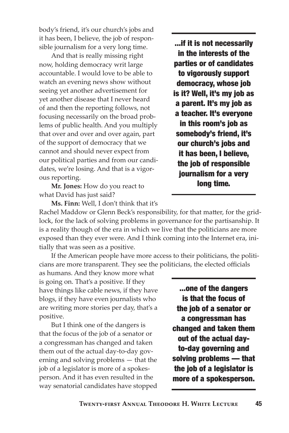body's friend, it's our church's jobs and it has been, I believe, the job of responsible journalism for a very long time.

And that is really missing right now, holding democracy writ large accountable. I would love to be able to watch an evening news show without seeing yet another advertisement for yet another disease that I never heard of and then the reporting follows, not focusing necessarily on the broad problems of public health. And you multiply that over and over and over again, part of the support of democracy that we cannot and should never expect from our political parties and from our candidates, we're losing. And that is a vigorous reporting.

**Mr. Jones:** How do you react to what David has just said?

...if it is not necessarily in the interests of the parties or of candidates to vigorously support democracy, whose job is it? Well, it's my job as a parent. It's my job as a teacher. It's everyone in this room's job as somebody's friend, it's our church's jobs and it has been, I believe, the job of responsible journalism for a very long time.

**Ms. Finn:** Well, I don't think that it's

Rachel Maddow or Glenn Beck's responsibility, for that matter, for the gridlock, for the lack of solving problems in governance for the partisanship. It is a reality though of the era in which we live that the politicians are more exposed than they ever were. And I think coming into the Internet era, initially that was seen as a positive.

If the American people have more access to their politicians, the politicians are more transparent. They see the politicians, the elected officials

as humans. And they know more what is going on. That's a positive. If they have things like cable news, if they have blogs, if they have even journalists who are writing more stories per day, that's a positive.

But I think one of the dangers is that the focus of the job of a senator or a congressman has changed and taken them out of the actual day-to-day governing and solving problems — that the job of a legislator is more of a spokesperson. And it has even resulted in the way senatorial candidates have stopped

...one of the dangers is that the focus of the job of a senator or a congressman has changed and taken them out of the actual dayto-day governing and solving problems — that the job of a legislator is more of a spokesperson.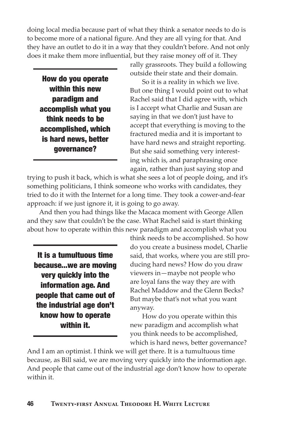doing local media because part of what they think a senator needs to do is to become more of a national figure. And they are all vying for that. And they have an outlet to do it in a way that they couldn't before. And not only does it make them more influential, but they raise money off of it. They

How do you operate within this new paradigm and accomplish what you think needs to be accomplished, which is hard news, better governance?

rally grassroots. They build a following outside their state and their domain.

So it is a reality in which we live. But one thing I would point out to what Rachel said that I did agree with, which is I accept what Charlie and Susan are saying in that we don't just have to accept that everything is moving to the fractured media and it is important to have hard news and straight reporting. But she said something very interesting which is, and paraphrasing once again, rather than just saying stop and

trying to push it back, which is what she sees a lot of people doing, and it's something politicians, I think someone who works with candidates, they tried to do it with the Internet for a long time. They took a cower-and-fear approach: if we just ignore it, it is going to go away.

And then you had things like the Macaca moment with George Allen and they saw that couldn't be the case. What Rachel said is start thinking about how to operate within this new paradigm and accomplish what you

It is a tumultuous time because...we are moving very quickly into the information age. And people that came out of the industrial age don't know how to operate within it.

think needs to be accomplished. So how do you create a business model, Charlie said, that works, where you are still producing hard news? How do you draw viewers in—maybe not people who are loyal fans the way they are with Rachel Maddow and the Glenn Becks? But maybe that's not what you want anyway.

How do you operate within this new paradigm and accomplish what you think needs to be accomplished, which is hard news, better governance?

And I am an optimist. I think we will get there. It is a tumultuous time because, as Bill said, we are moving very quickly into the information age. And people that came out of the industrial age don't know how to operate within it.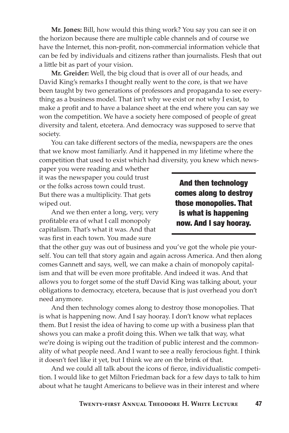**Mr. Jones:** Bill, how would this thing work? You say you can see it on the horizon because there are multiple cable channels and of course we have the Internet, this non-profit, non-commercial information vehicle that can be fed by individuals and citizens rather than journalists. Flesh that out a little bit as part of your vision.

**Mr. Greider:** Well, the big cloud that is over all of our heads, and David King's remarks I thought really went to the core, is that we have been taught by two generations of professors and propaganda to see everything as a business model. That isn't why we exist or not why I exist, to make a profit and to have a balance sheet at the end where you can say we won the competition. We have a society here composed of people of great diversity and talent, etcetera. And democracy was supposed to serve that society.

You can take different sectors of the media, newspapers are the ones that we know most familiarly. And it happened in my lifetime where the competition that used to exist which had diversity, you knew which news-

paper you were reading and whether it was the newspaper you could trust or the folks across town could trust. But there was a multiplicity. That gets wiped out.

And we then enter a long, very, very profitable era of what I call monopoly capitalism. That's what it was. And that was first in each town. You made sure

And then technology comes along to destroy those monopolies. That is what is happening now. And I say hooray.

that the other guy was out of business and you've got the whole pie yourself. You can tell that story again and again across America. And then along comes Gannett and says, well, we can make a chain of monopoly capitalism and that will be even more profitable. And indeed it was. And that allows you to forget some of the stuff David King was talking about, your obligations to democracy, etcetera, because that is just overhead you don't need anymore.

And then technology comes along to destroy those monopolies. That is what is happening now. And I say hooray. I don't know what replaces them. But I resist the idea of having to come up with a business plan that shows you can make a profit doing this. When we talk that way, what we're doing is wiping out the tradition of public interest and the commonality of what people need. And I want to see a really ferocious fight. I think it doesn't feel like it yet, but I think we are on the brink of that.

And we could all talk about the icons of fierce, individualistic competition. I would like to get Milton Friedman back for a few days to talk to him about what he taught Americans to believe was in their interest and where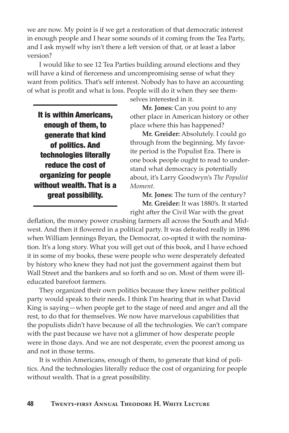we are now. My point is if we get a restoration of that democratic interest in enough people and I hear some sounds of it coming from the Tea Party, and I ask myself why isn't there a left version of that, or at least a labor version?

I would like to see 12 Tea Parties building around elections and they will have a kind of fierceness and uncompromising sense of what they want from politics. That's self interest. Nobody has to have an accounting of what is profit and what is loss. People will do it when they see them-

It is within Americans, enough of them, to generate that kind of politics. And technologies literally reduce the cost of organizing for people without wealth. That is a great possibility.

selves interested in it.

**Mr. Jones:** Can you point to any other place in American history or other place where this has happened?

**Mr. Greider:** Absolutely. I could go through from the beginning. My favorite period is the Populist Era. There is one book people ought to read to understand what democracy is potentially about, it's Larry Goodwyn's *The Populist Moment*.

**Mr. Jones:** The turn of the century? **Mr. Greider:** It was 1880's. It started right after the Civil War with the great

deflation, the money power crushing farmers all across the South and Midwest. And then it flowered in a political party. It was defeated really in 1896 when William Jennings Bryan, the Democrat, co-opted it with the nomination. It's a long story. What you will get out of this book, and I have echoed it in some of my books, these were people who were desperately defeated by history who knew they had not just the government against them but Wall Street and the bankers and so forth and so on. Most of them were illeducated barefoot farmers.

They organized their own politics because they knew neither political party would speak to their needs. I think I'm hearing that in what David King is saying—when people get to the stage of need and anger and all the rest, to do that for themselves. We now have marvelous capabilities that the populists didn't have because of all the technologies. We can't compare with the past because we have not a glimmer of how desperate people were in those days. And we are not desperate, even the poorest among us and not in those terms.

It is within Americans, enough of them, to generate that kind of politics. And the technologies literally reduce the cost of organizing for people without wealth. That is a great possibility.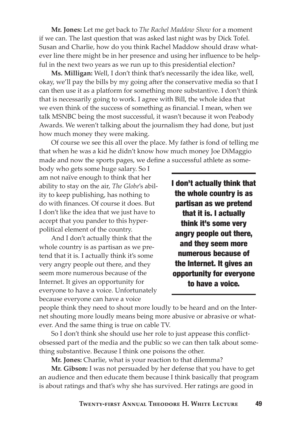**Mr. Jones:** Let me get back to *The Rachel Maddow Show* for a moment if we can. The last question that was asked last night was by Dick Tofel. Susan and Charlie, how do you think Rachel Maddow should draw whatever line there might be in her presence and using her influence to be helpful in the next two years as we run up to this presidential election?

**Ms. Milligan:** Well, I don't think that's necessarily the idea like, well, okay, we'll pay the bills by my going after the conservative media so that I can then use it as a platform for something more substantive. I don't think that is necessarily going to work. I agree with Bill, the whole idea that we even think of the success of something as financial. I mean, when we talk MSNBC being the most successful, it wasn't because it won Peabody Awards. We weren't talking about the journalism they had done, but just how much money they were making.

Of course we see this all over the place. My father is fond of telling me that when he was a kid he didn't know how much money Joe DiMaggio made and now the sports pages, we define a successful athlete as some-

body who gets some huge salary. So I am not naïve enough to think that her ability to stay on the air, *The Globe*'s ability to keep publishing, has nothing to do with finances. Of course it does. But I don't like the idea that we just have to accept that you pander to this hyperpolitical element of the country.

And I don't actually think that the whole country is as partisan as we pretend that it is. I actually think it's some very angry people out there, and they seem more numerous because of the Internet. It gives an opportunity for everyone to have a voice. Unfortunately because everyone can have a voice

I don't actually think that the whole country is as partisan as we pretend that it is. I actually think it's some very angry people out there, and they seem more numerous because of the Internet. It gives an opportunity for everyone to have a voice.

people think they need to shout more loudly to be heard and on the Internet shouting more loudly means being more abusive or abrasive or whatever. And the same thing is true on cable TV.

So I don't think she should use her role to just appease this conflictobsessed part of the media and the public so we can then talk about something substantive. Because I think one poisons the other.

**Mr. Jones:** Charlie, what is your reaction to that dilemma?

**Mr. Gibson:** I was not persuaded by her defense that you have to get an audience and then educate them because I think basically that program is about ratings and that's why she has survived. Her ratings are good in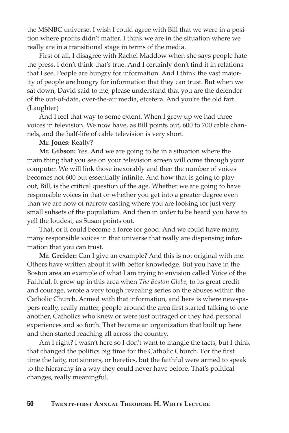the MSNBC universe. I wish I could agree with Bill that we were in a position where profits didn't matter. I think we are in the situation where we really are in a transitional stage in terms of the media.

First of all, I disagree with Rachel Maddow when she says people hate the press. I don't think that's true. And I certainly don't find it in relations that I see. People are hungry for information. And I think the vast majority of people are hungry for information that they can trust. But when we sat down, David said to me, please understand that you are the defender of the out-of-date, over-the-air media, etcetera. And you're the old fart. (Laughter)

And I feel that way to some extent. When I grew up we had three voices in television. We now have, as Bill points out, 600 to 700 cable channels, and the half-life of cable television is very short.

#### **Mr. Jones:** Really?

**Mr. Gibson:** Yes. And we are going to be in a situation where the main thing that you see on your television screen will come through your computer. We will link those inexorably and then the number of voices becomes not 600 but essentially infinite. And how that is going to play out, Bill, is the critical question of the age. Whether we are going to have responsible voices in that or whether you get into a greater degree even than we are now of narrow casting where you are looking for just very small subsets of the population. And then in order to be heard you have to yell the loudest, as Susan points out.

That, or it could become a force for good. And we could have many, many responsible voices in that universe that really are dispensing information that you can trust.

**Mr. Greider:** Can I give an example? And this is not original with me. Others have written about it with better knowledge. But you have in the Boston area an example of what I am trying to envision called Voice of the Faithful. It grew up in this area when *The Boston Globe*, to its great credit and courage, wrote a very tough revealing series on the abuses within the Catholic Church. Armed with that information, and here is where newspapers really, really matter, people around the area first started talking to one another, Catholics who knew or were just outraged or they had personal experiences and so forth. That became an organization that built up here and then started reaching all across the country.

Am I right? I wasn't here so I don't want to mangle the facts, but I think that changed the politics big time for the Catholic Church. For the first time the laity, not sinners, or heretics, but the faithful were armed to speak to the hierarchy in a way they could never have before. That's political changes, really meaningful.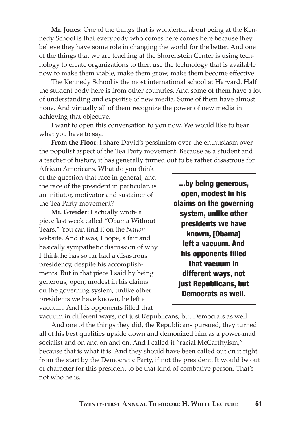**Mr. Jones:** One of the things that is wonderful about being at the Kennedy School is that everybody who comes here comes here because they believe they have some role in changing the world for the better. And one of the things that we are teaching at the Shorenstein Center is using technology to create organizations to then use the technology that is available now to make them viable, make them grow, make them become effective.

The Kennedy School is the most international school at Harvard. Half the student body here is from other countries. And some of them have a lot of understanding and expertise of new media. Some of them have almost none. And virtually all of them recognize the power of new media in achieving that objective.

I want to open this conversation to you now. We would like to hear what you have to say.

**From the Floor:** I share David's pessimism over the enthusiasm over the populist aspect of the Tea Party movement. Because as a student and a teacher of history, it has generally turned out to be rather disastrous for

African Americans. What do you think of the question that race in general, and the race of the president in particular, is an initiator, motivator and sustainer of the Tea Party movement?

**Mr. Greider:** I actually wrote a piece last week called "Obama Without Tears." You can find it on the *Nation* website. And it was, I hope, a fair and basically sympathetic discussion of why I think he has so far had a disastrous presidency, despite his accomplishments. But in that piece I said by being generous, open, modest in his claims on the governing system, unlike other presidents we have known, he left a vacuum. And his opponents filled that

...by being generous, open, modest in his claims on the governing system, unlike other presidents we have known, [Obama] left a vacuum. And his opponents filled that vacuum in different ways, not just Republicans, but Democrats as well.

vacuum in different ways, not just Republicans, but Democrats as well.

And one of the things they did, the Republicans pursued, they turned all of his best qualities upside down and demonized him as a power-mad socialist and on and on and on. And I called it "racial McCarthyism," because that is what it is. And they should have been called out on it right from the start by the Democratic Party, if not the president. It would be out of character for this president to be that kind of combative person. That's not who he is.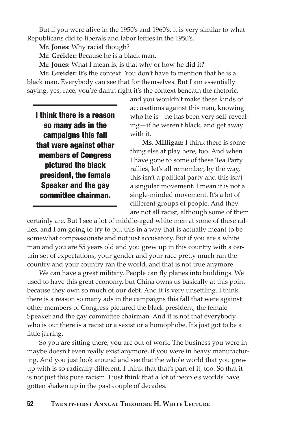But if you were alive in the 1950's and 1960's, it is very similar to what Republicans did to liberals and labor lefties in the 1950's.

**Mr. Jones:** Why racial though?

**Mr. Greider:** Because he is a black man.

**Mr. Jones:** What I mean is, is that why or how he did it?

**Mr. Greider:** It's the context. You don't have to mention that he is a black man. Everybody can see that for themselves. But I am essentially saying, yes, race, you're damn right it's the context beneath the rhetoric,

I think there is a reason so many ads in the campaigns this fall that were against other members of Congress pictured the black president, the female Speaker and the gay committee chairman.

and you wouldn't make these kinds of accusations against this man, knowing who he is—he has been very self-revealing—if he weren't black, and get away with it.

**Ms. Milligan:** I think there is something else at play here, too. And when I have gone to some of these Tea Party rallies, let's all remember, by the way, this isn't a political party and this isn't a singular movement. I mean it is not a single-minded movement. It's a lot of different groups of people. And they are not all racist, although some of them

certainly are. But I see a lot of middle-aged white men at some of these rallies, and I am going to try to put this in a way that is actually meant to be somewhat compassionate and not just accusatory. But if you are a white man and you are 55 years old and you grew up in this country with a certain set of expectations, your gender and your race pretty much ran the country and your country ran the world, and that is not true anymore.

We can have a great military. People can fly planes into buildings. We used to have this great economy, but China owns us basically at this point because they own so much of our debt. And it is very unsettling. I think there is a reason so many ads in the campaigns this fall that were against other members of Congress pictured the black president, the female Speaker and the gay committee chairman. And it is not that everybody who is out there is a racist or a sexist or a homophobe. It's just got to be a little jarring.

So you are sitting there, you are out of work. The business you were in maybe doesn't even really exist anymore, if you were in heavy manufacturing. And you just look around and see that the whole world that you grew up with is so radically different, I think that that's part of it, too. So that it is not just this pure racism. I just think that a lot of people's worlds have gotten shaken up in the past couple of decades.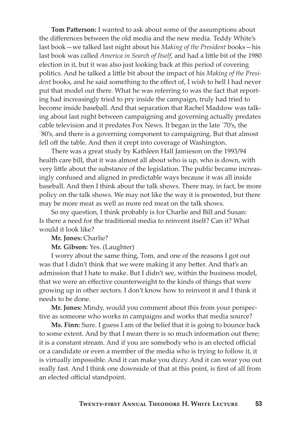**Tom Patterson:** I wanted to ask about some of the assumptions about the differences between the old media and the new media. Teddy White's last book—we talked last night about his *Making of the President* books—his last book was called *America in Search of Itself*, and had a little bit of the 1980 election in it, but it was also just looking back at this period of covering politics. And he talked a little bit about the impact of his *Making of the President* books, and he said something to the effect of, I wish to hell I had never put that model out there. What he was referring to was the fact that reporting had increasingly tried to pry inside the campaign, truly had tried to become inside baseball. And that separation that Rachel Maddow was talking about last night between campaigning and governing actually predates cable television and it predates Fox News. It began in the late `70's, the `80's, and there is a governing component to campaigning. But that almost fell off the table. And then it crept into coverage of Washington.

There was a great study by Kathleen Hall Jamieson on the 1993/94 health care bill, that it was almost all about who is up, who is down, with very little about the substance of the legislation. The public became increasingly confused and aligned in predictable ways because it was all inside baseball. And then I think about the talk shows. There may, in fact, be more policy on the talk shows. We may not like the way it is presented, but there may be more meat as well as more red meat on the talk shows.

So my question, I think probably is for Charlie and Bill and Susan: Is there a need for the traditional media to reinvent itself? Can it? What would it look like?

#### **Mr. Jones:** Charlie?

#### **Mr. Gibson:** Yes. (Laughter)

I worry about the same thing, Tom, and one of the reasons I got out was that I didn't think that we were making it any better. And that's an admission that I hate to make. But I didn't see, within the business model, that we were an effective counterweight to the kinds of things that were growing up in other sectors. I don't know how to reinvent it and I think it needs to be done.

**Mr. Jones:** Mindy, would you comment about this from your perspective as someone who works in campaigns and works that media source?

**Ms. Finn:** Sure. I guess I am of the belief that it is going to bounce back to some extent. And by that I mean there is so much information out there; it is a constant stream. And if you are somebody who is an elected official or a candidate or even a member of the media who is trying to follow it, it is virtually impossible. And it can make you dizzy. And it can wear you out really fast. And I think one downside of that at this point, is first of all from an elected official standpoint.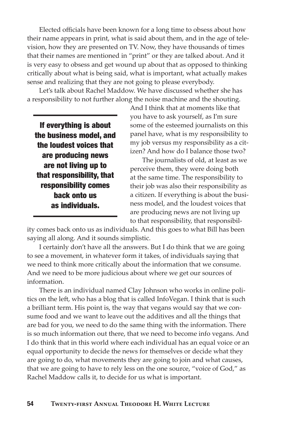Elected officials have been known for a long time to obsess about how their name appears in print, what is said about them, and in the age of television, how they are presented on TV. Now, they have thousands of times that their names are mentioned in "print" or they are talked about. And it is very easy to obsess and get wound up about that as opposed to thinking critically about what is being said, what is important, what actually makes sense and realizing that they are not going to please everybody.

Let's talk about Rachel Maddow. We have discussed whether she has a responsibility to not further along the noise machine and the shouting.

If everything is about the business model, and the loudest voices that are producing news are not living up to that responsibility, that responsibility comes back onto us as individuals.

And I think that at moments like that you have to ask yourself, as I'm sure some of the esteemed journalists on this panel have, what is my responsibility to my job versus my responsibility as a citizen? And how do I balance those two?

The journalists of old, at least as we perceive them, they were doing both at the same time. The responsibility to their job was also their responsibility as a citizen. If everything is about the business model, and the loudest voices that are producing news are not living up to that responsibility, that responsibil-

ity comes back onto us as individuals. And this goes to what Bill has been saying all along. And it sounds simplistic.

I certainly don't have all the answers. But I do think that we are going to see a movement, in whatever form it takes, of individuals saying that we need to think more critically about the information that we consume. And we need to be more judicious about where we get our sources of information.

There is an individual named Clay Johnson who works in online politics on the left, who has a blog that is called InfoVegan. I think that is such a brilliant term. His point is, the way that vegans would say that we consume food and we want to leave out the additives and all the things that are bad for you, we need to do the same thing with the information. There is so much information out there, that we need to become info vegans. And I do think that in this world where each individual has an equal voice or an equal opportunity to decide the news for themselves or decide what they are going to do, what movements they are going to join and what causes, that we are going to have to rely less on the one source, "voice of God," as Rachel Maddow calls it, to decide for us what is important.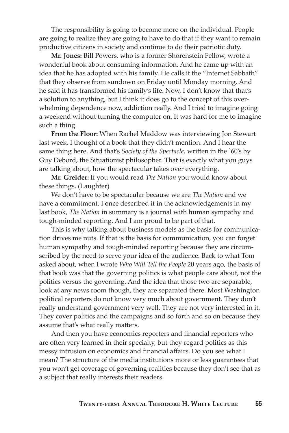The responsibility is going to become more on the individual. People are going to realize they are going to have to do that if they want to remain productive citizens in society and continue to do their patriotic duty.

**Mr. Jones:** Bill Powers, who is a former Shorenstein Fellow, wrote a wonderful book about consuming information. And he came up with an idea that he has adopted with his family. He calls it the "Internet Sabbath" that they observe from sundown on Friday until Monday morning. And he said it has transformed his family's life. Now, I don't know that that's a solution to anything, but I think it does go to the concept of this overwhelming dependence now, addiction really. And I tried to imagine going a weekend without turning the computer on. It was hard for me to imagine such a thing.

**From the Floor:** When Rachel Maddow was interviewing Jon Stewart last week, I thought of a book that they didn't mention. And I hear the same thing here. And that's *Society of the Spectacle,* written in the `60's by Guy Debord, the Situationist philosopher. That is exactly what you guys are talking about, how the spectacular takes over everything.

**Mr. Greider:** If you would read *The Nation* you would know about these things. (Laughter)

We don't have to be spectacular because we are *The Nation* and we have a commitment. I once described it in the acknowledgements in my last book, *The Nation* in summary is a journal with human sympathy and tough-minded reporting. And I am proud to be part of that.

This is why talking about business models as the basis for communication drives me nuts. If that is the basis for communication, you can forget human sympathy and tough-minded reporting because they are circumscribed by the need to serve your idea of the audience. Back to what Tom asked about, when I wrote *Who Will Tell the People* 20 years ago, the basis of that book was that the governing politics is what people care about, not the politics versus the governing. And the idea that those two are separable, look at any news room though, they are separated there. Most Washington political reporters do not know very much about government. They don't really understand government very well. They are not very interested in it. They cover politics and the campaigns and so forth and so on because they assume that's what really matters.

And then you have economics reporters and financial reporters who are often very learned in their specialty, but they regard politics as this messy intrusion on economics and financial affairs. Do you see what I mean? The structure of the media institutions more or less guarantees that you won't get coverage of governing realities because they don't see that as a subject that really interests their readers.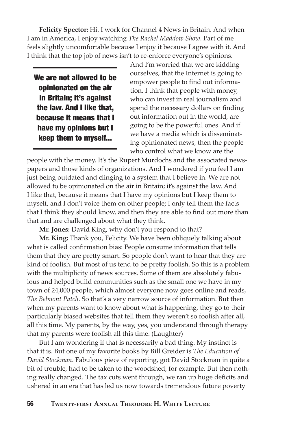**Felicity Spector:** Hi. I work for Channel 4 News in Britain. And when I am in America, I enjoy watching *The Rachel Maddow Show*. Part of me feels slightly uncomfortable because I enjoy it because I agree with it. And I think that the top job of news isn't to re-enforce everyone's opinions.

We are not allowed to be opinionated on the air in Britain; it's against the law. And I like that, because it means that I have my opinions but I keep them to myself...

And I'm worried that we are kidding ourselves, that the Internet is going to empower people to find out information. I think that people with money, who can invest in real journalism and spend the necessary dollars on finding out information out in the world, are going to be the powerful ones. And if we have a media which is disseminating opinionated news, then the people who control what we know are the

people with the money. It's the Rupert Murdochs and the associated newspapers and those kinds of organizations. And I wondered if you feel I am just being outdated and clinging to a system that I believe in. We are not allowed to be opinionated on the air in Britain; it's against the law. And I like that, because it means that I have my opinions but I keep them to myself, and I don't voice them on other people; I only tell them the facts that I think they should know, and then they are able to find out more than that and are challenged about what they think.

**Mr. Jones:** David King, why don't you respond to that?

**Mr. King:** Thank you, Felicity. We have been obliquely talking about what is called confirmation bias: People consume information that tells them that they are pretty smart. So people don't want to hear that they are kind of foolish. But most of us tend to be pretty foolish. So this is a problem with the multiplicity of news sources. Some of them are absolutely fabulous and helped build communities such as the small one we have in my town of 24,000 people, which almost everyone now goes online and reads, *The Belmont Patch*. So that's a very narrow source of information. But then when my parents want to know about what is happening, they go to their particularly biased websites that tell them they weren't so foolish after all, all this time. My parents, by the way, yes, you understand through therapy that my parents were foolish all this time. (Laughter)

But I am wondering if that is necessarily a bad thing. My instinct is that it is. But one of my favorite books by Bill Greider is *The Education of David Stockman*. Fabulous piece of reporting, got David Stockman in quite a bit of trouble, had to be taken to the woodshed, for example. But then nothing really changed. The tax cuts went through, we ran up huge deficits and ushered in an era that has led us now towards tremendous future poverty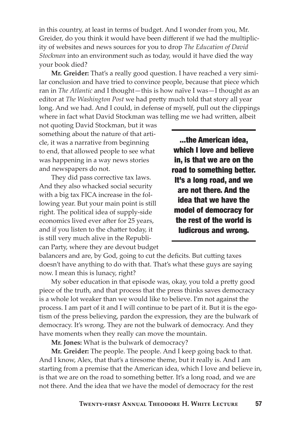in this country, at least in terms of budget. And I wonder from you, Mr. Greider, do you think it would have been different if we had the multiplicity of websites and news sources for you to drop *The Education of David Stockman* into an environment such as today, would it have died the way your book died?

**Mr. Greider:** That's a really good question. I have reached a very similar conclusion and have tried to convince people, because that piece which ran in *The Atlantic* and I thought—this is how naïve I was—I thought as an editor at *The Washington Post* we had pretty much told that story all year long. And we had. And I could, in defense of myself, pull out the clippings where in fact what David Stockman was telling me we had written, albeit

not quoting David Stockman, but it was something about the nature of that article, it was a narrative from beginning to end, that allowed people to see what was happening in a way news stories and newspapers do not.

They did pass corrective tax laws. And they also whacked social security with a big tax FICA increase in the following year. But your main point is still right. The political idea of supply-side economics lived ever after for 25 years, and if you listen to the chatter today, it is still very much alive in the Republican Party, where they are devout budget

...the American idea, which I love and believe in, is that we are on the road to something better. It's a long road, and we are not there. And the idea that we have the model of democracy for the rest of the world is ludicrous and wrong.

balancers and are, by God, going to cut the deficits. But cutting taxes doesn't have anything to do with that. That's what these guys are saying now. I mean this is lunacy, right?

My sober education in that episode was, okay, you told a pretty good piece of the truth, and that process that the press thinks saves democracy is a whole lot weaker than we would like to believe. I'm not against the process. I am part of it and I will continue to be part of it. But it is the egotism of the press believing, pardon the expression, they are the bulwark of democracy. It's wrong. They are not the bulwark of democracy. And they have moments when they really can move the mountain.

**Mr. Jones:** What is the bulwark of democracy?

**Mr. Greider:** The people. The people. And I keep going back to that. And I know, Alex, that that's a tiresome theme, but it really is. And I am starting from a premise that the American idea, which I love and believe in, is that we are on the road to something better. It's a long road, and we are not there. And the idea that we have the model of democracy for the rest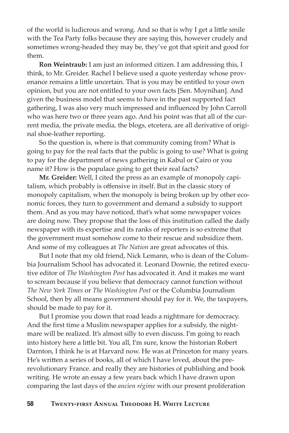of the world is ludicrous and wrong. And so that is why I get a little smile with the Tea Party folks because they are saying this, however crudely and sometimes wrong-headed they may be, they've got that spirit and good for them.

**Ron Weintraub:** I am just an informed citizen. I am addressing this, I think, to Mr. Greider. Rachel I believe used a quote yesterday whose provenance remains a little uncertain. That is you may be entitled to your own opinion, but you are not entitled to your own facts [Sen. Moynihan]. And given the business model that seems to have in the past supported fact gathering, I was also very much impressed and influenced by John Carroll who was here two or three years ago. And his point was that all of the current media, the private media, the blogs, etcetera, are all derivative of original shoe-leather reporting.

So the question is, where is that community coming from? What is going to pay for the real facts that the public is going to use? What is going to pay for the department of news gathering in Kabul or Cairo or you name it? How is the populace going to get their real facts?

**Mr. Greider:** Well, I cited the press as an example of monopoly capitalism, which probably is offensive in itself. But in the classic story of monopoly capitalism, when the monopoly is being broken up by other economic forces, they turn to government and demand a subsidy to support them. And as you may have noticed, that's what some newspaper voices are doing now. They propose that the loss of this institution called the daily newspaper with its expertise and its ranks of reporters is so extreme that the government must somehow come to their rescue and subsidize them. And some of my colleagues at *The Nation* are great advocates of this.

But I note that my old friend, Nick Lemann, who is dean of the Columbia Journalism School has advocated it. Leonard Downie, the retired executive editor of *The Washington Post* has advocated it. And it makes me want to scream because if you believe that democracy cannot function without *The New York Times* or *The Washington Post* or the Columbia Journalism School, then by all means government should pay for it. We, the taxpayers, should be made to pay for it.

But I promise you down that road leads a nightmare for democracy. And the first time a Muslim newspaper applies for a subsidy, the nightmare will be realized. It's almost silly to even discuss. I'm going to reach into history here a little bit. You all, I'm sure, know the historian Robert Darnton, I think he is at Harvard now. He was at Princeton for many years. He's written a series of books, all of which I have loved, about the prerevolutionary France. and really they are histories of publishing and book writing. He wrote an essay a few years back which I have drawn upon comparing the last days of the *ancien régime* with our present proliferation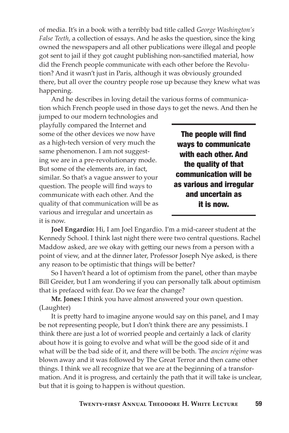of media. It's in a book with a terribly bad title called *George Washington's False Teeth*, a collection of essays. And he asks the question, since the king owned the newspapers and all other publications were illegal and people got sent to jail if they got caught publishing non-sanctified material, how did the French people communicate with each other before the Revolution? And it wasn't just in Paris, although it was obviously grounded there, but all over the country people rose up because they knew what was happening.

And he describes in loving detail the various forms of communication which French people used in those days to get the news. And then he

jumped to our modern technologies and playfully compared the Internet and some of the other devices we now have as a high-tech version of very much the same phenomenon. I am not suggesting we are in a pre-revolutionary mode. But some of the elements are, in fact, similar. So that's a vague answer to your question. The people will find ways to communicate with each other. And the quality of that communication will be as various and irregular and uncertain as it is now.

The people will find ways to communicate with each other. And the quality of that communication will be as various and irregular and uncertain as it is now.

**Joel Engardio:** Hi, I am Joel Engardio. I'm a mid-career student at the Kennedy School. I think last night there were two central questions. Rachel Maddow asked, are we okay with getting our news from a person with a point of view, and at the dinner later, Professor Joseph Nye asked, is there any reason to be optimistic that things will be better?

So I haven't heard a lot of optimism from the panel, other than maybe Bill Greider, but I am wondering if you can personally talk about optimism that is prefaced with fear. Do we fear the change?

**Mr. Jones:** I think you have almost answered your own question. (Laughter)

It is pretty hard to imagine anyone would say on this panel, and I may be not representing people, but I don't think there are any pessimists. I think there are just a lot of worried people and certainly a lack of clarity about how it is going to evolve and what will be the good side of it and what will be the bad side of it, and there will be both. The *ancien régime* was blown away and it was followed by The Great Terror and then came other things. I think we all recognize that we are at the beginning of a transformation. And it is progress, and certainly the path that it will take is unclear, but that it is going to happen is without question.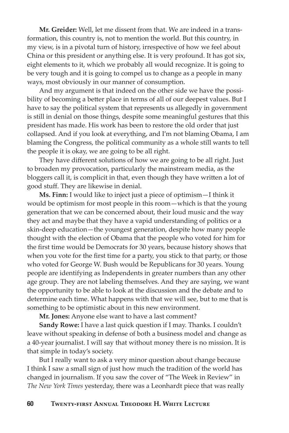**Mr. Greider:** Well, let me dissent from that. We are indeed in a transformation, this country is, not to mention the world. But this country, in my view, is in a pivotal turn of history, irrespective of how we feel about China or this president or anything else. It is very profound. It has got six, eight elements to it, which we probably all would recognize. It is going to be very tough and it is going to compel us to change as a people in many ways, most obviously in our manner of consumption.

And my argument is that indeed on the other side we have the possibility of becoming a better place in terms of all of our deepest values. But I have to say the political system that represents us allegedly in government is still in denial on those things, despite some meaningful gestures that this president has made. His work has been to restore the old order that just collapsed. And if you look at everything, and I'm not blaming Obama, I am blaming the Congress, the political community as a whole still wants to tell the people it is okay, we are going to be all right.

They have different solutions of how we are going to be all right. Just to broaden my provocation, particularly the mainstream media, as the bloggers call it, is complicit in that, even though they have written a lot of good stuff. They are likewise in denial.

**Ms. Finn:** I would like to inject just a piece of optimism—I think it would be optimism for most people in this room—which is that the young generation that we can be concerned about, their loud music and the way they act and maybe that they have a vapid understanding of politics or a skin-deep education—the youngest generation, despite how many people thought with the election of Obama that the people who voted for him for the first time would be Democrats for 30 years, because history shows that when you vote for the first time for a party, you stick to that party, or those who voted for George W. Bush would be Republicans for 30 years. Young people are identifying as Independents in greater numbers than any other age group. They are not labeling themselves. And they are saying, we want the opportunity to be able to look at the discussion and the debate and to determine each time. What happens with that we will see, but to me that is something to be optimistic about in this new environment.

**Mr. Jones:** Anyone else want to have a last comment?

**Sandy Rowe:** I have a last quick question if I may. Thanks. I couldn't leave without speaking in defense of both a business model and change as a 40-year journalist. I will say that without money there is no mission. It is that simple in today's society.

But I really want to ask a very minor question about change because I think I saw a small sign of just how much the tradition of the world has changed in journalism. If you saw the cover of "The Week in Review" in *The New York Times* yesterday, there was a Leonhardt piece that was really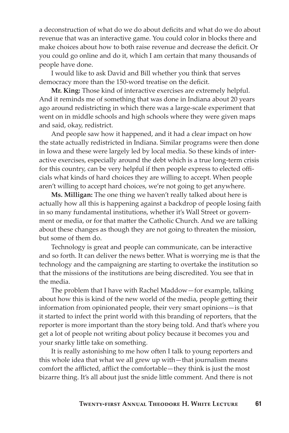a deconstruction of what do we do about deficits and what do we do about revenue that was an interactive game. You could color in blocks there and make choices about how to both raise revenue and decrease the deficit. Or you could go online and do it, which I am certain that many thousands of people have done.

I would like to ask David and Bill whether you think that serves democracy more than the 150-word treatise on the deficit.

**Mr. King:** Those kind of interactive exercises are extremely helpful. And it reminds me of something that was done in Indiana about 20 years ago around redistricting in which there was a large-scale experiment that went on in middle schools and high schools where they were given maps and said, okay, redistrict.

And people saw how it happened, and it had a clear impact on how the state actually redistricted in Indiana. Similar programs were then done in Iowa and these were largely led by local media. So these kinds of interactive exercises, especially around the debt which is a true long-term crisis for this country, can be very helpful if then people express to elected officials what kinds of hard choices they are willing to accept. When people aren't willing to accept hard choices, we're not going to get anywhere.

**Ms. Milligan:** The one thing we haven't really talked about here is actually how all this is happening against a backdrop of people losing faith in so many fundamental institutions, whether it's Wall Street or government or media, or for that matter the Catholic Church. And we are talking about these changes as though they are not going to threaten the mission, but some of them do.

Technology is great and people can communicate, can be interactive and so forth. It can deliver the news better. What is worrying me is that the technology and the campaigning are starting to overtake the institution so that the missions of the institutions are being discredited. You see that in the media.

The problem that I have with Rachel Maddow—for example, talking about how this is kind of the new world of the media, people getting their information from opinionated people, their very smart opinions—is that it started to infect the print world with this branding of reporters, that the reporter is more important than the story being told. And that's where you get a lot of people not writing about policy because it becomes you and your snarky little take on something.

It is really astonishing to me how often I talk to young reporters and this whole idea that what we all grew up with—that journalism means comfort the afflicted, afflict the comfortable—they think is just the most bizarre thing. It's all about just the snide little comment. And there is not